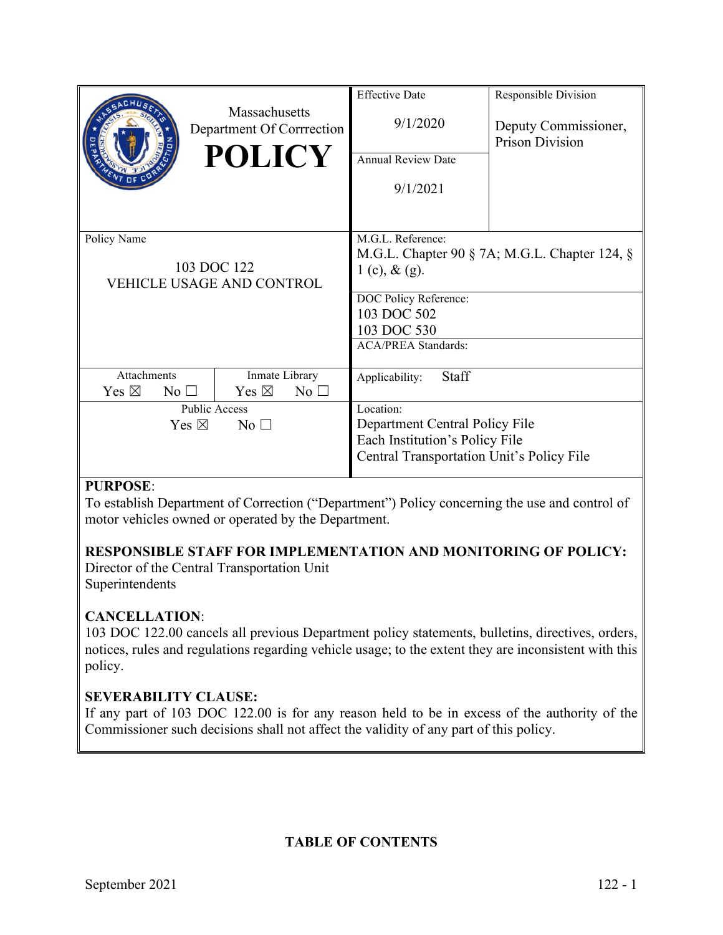|                                                  | Massachusetts<br>Department Of Corrrection<br><b>POLICY</b> | <b>Effective Date</b><br>9/1/2020<br><b>Annual Review Date</b><br>9/1/2021                                                 | Responsible Division<br>Deputy Commissioner,<br><b>Prison Division</b> |
|--------------------------------------------------|-------------------------------------------------------------|----------------------------------------------------------------------------------------------------------------------------|------------------------------------------------------------------------|
| Policy Name                                      | 103 DOC 122<br><b>VEHICLE USAGE AND CONTROL</b>             | M.G.L. Reference:<br>1 (c), $&$ (g).<br>DOC Policy Reference:<br>103 DOC 502<br>103 DOC 530<br><b>ACA/PREA Standards:</b>  | M.G.L. Chapter 90 $\S$ 7A; M.G.L. Chapter 124, $\S$                    |
| Attachments<br>Yes $\boxtimes$<br>$No$ $\square$ | Inmate Library<br>Yes $\boxtimes$<br>No <sub>1</sub>        | Staff<br>Applicability:                                                                                                    |                                                                        |
| Yes $\boxtimes$                                  | Public Access<br>No <sub>1</sub>                            | Location:<br>Department Central Policy File<br>Each Institution's Policy File<br>Central Transportation Unit's Policy File |                                                                        |

# **PURPOSE**:

To establish Department of Correction ("Department") Policy concerning the use and control of motor vehicles owned or operated by the Department.

# **RESPONSIBLE STAFF FOR IMPLEMENTATION AND MONITORING OF POLICY:**

Director of the Central Transportation Unit Superintendents

# **CANCELLATION**:

103 DOC 122.00 cancels all previous Department policy statements, bulletins, directives, orders, notices, rules and regulations regarding vehicle usage; to the extent they are inconsistent with this policy.

# **SEVERABILITY CLAUSE:**

If any part of 103 DOC 122.00 is for any reason held to be in excess of the authority of the Commissioner such decisions shall not affect the validity of any part of this policy.

# **TABLE OF CONTENTS**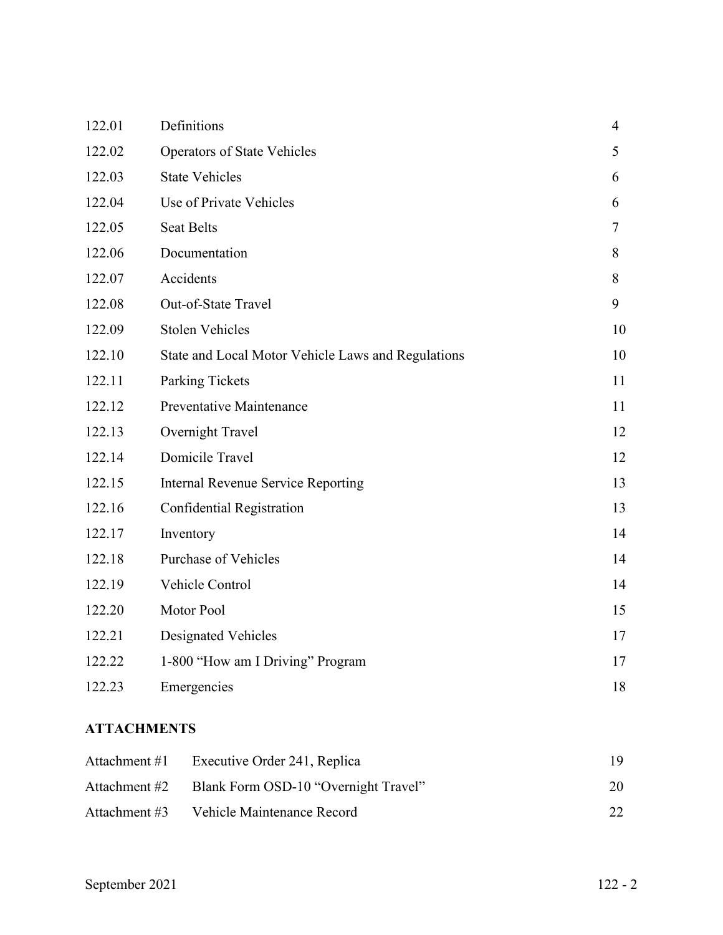| 122.01 | Definitions                                        | $\overline{4}$ |
|--------|----------------------------------------------------|----------------|
| 122.02 | <b>Operators of State Vehicles</b>                 | 5              |
| 122.03 | <b>State Vehicles</b>                              | 6              |
| 122.04 | Use of Private Vehicles                            | 6              |
| 122.05 | <b>Seat Belts</b>                                  | 7              |
| 122.06 | Documentation                                      | 8              |
| 122.07 | Accidents                                          | 8              |
| 122.08 | Out-of-State Travel                                | 9              |
| 122.09 | <b>Stolen Vehicles</b>                             | 10             |
| 122.10 | State and Local Motor Vehicle Laws and Regulations | 10             |
| 122.11 | <b>Parking Tickets</b>                             | 11             |
| 122.12 | Preventative Maintenance                           | 11             |
| 122.13 | Overnight Travel                                   | 12             |
| 122.14 | Domicile Travel                                    | 12             |
| 122.15 | <b>Internal Revenue Service Reporting</b>          | 13             |
| 122.16 | Confidential Registration                          | 13             |
| 122.17 | Inventory                                          | 14             |
| 122.18 | Purchase of Vehicles                               | 14             |
| 122.19 | Vehicle Control                                    | 14             |
| 122.20 | Motor Pool                                         | 15             |
| 122.21 | <b>Designated Vehicles</b>                         | 17             |
| 122.22 | 1-800 "How am I Driving" Program                   | 17             |
| 122.23 | Emergencies                                        | 18             |

# **ATTACHMENTS**

| Attachment #1 | Executive Order 241, Replica         |              |
|---------------|--------------------------------------|--------------|
| Attachment #2 | Blank Form OSD-10 "Overnight Travel" | 20           |
| Attachment #3 | Vehicle Maintenance Record           | $22^{\circ}$ |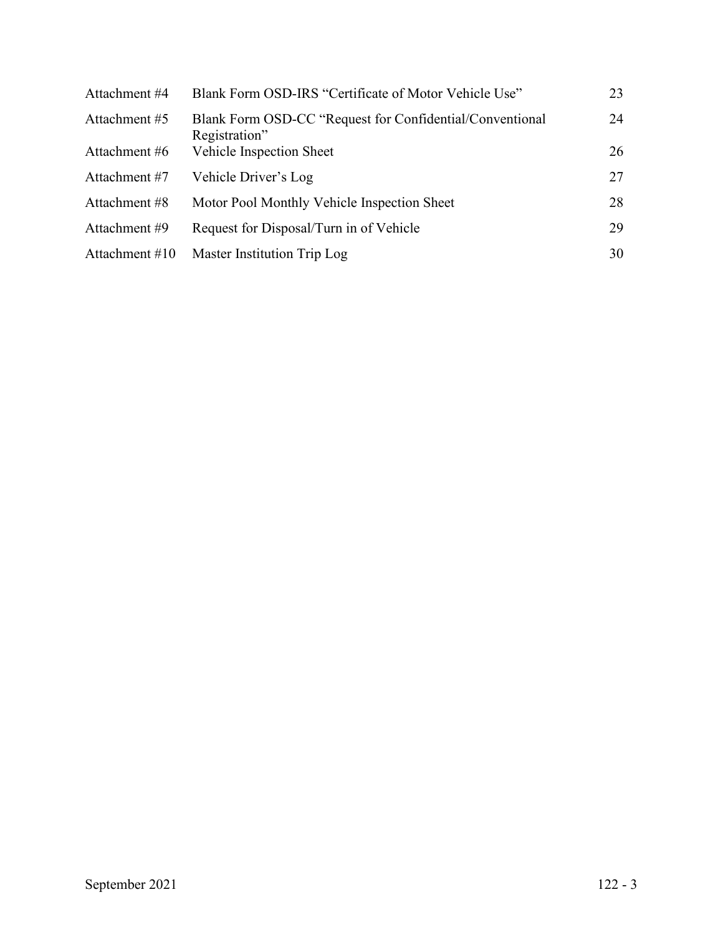| Attachment #4    | Blank Form OSD-IRS "Certificate of Motor Vehicle Use"                     | 23 |
|------------------|---------------------------------------------------------------------------|----|
| Attachment #5    | Blank Form OSD-CC "Request for Confidential/Conventional<br>Registration" | 24 |
| Attachment #6    | Vehicle Inspection Sheet                                                  | 26 |
| Attachment #7    | Vehicle Driver's Log                                                      | 27 |
| Attachment #8    | Motor Pool Monthly Vehicle Inspection Sheet                               | 28 |
| Attachment #9    | Request for Disposal/Turn in of Vehicle                                   | 29 |
| Attachment $#10$ | Master Institution Trip Log                                               | 30 |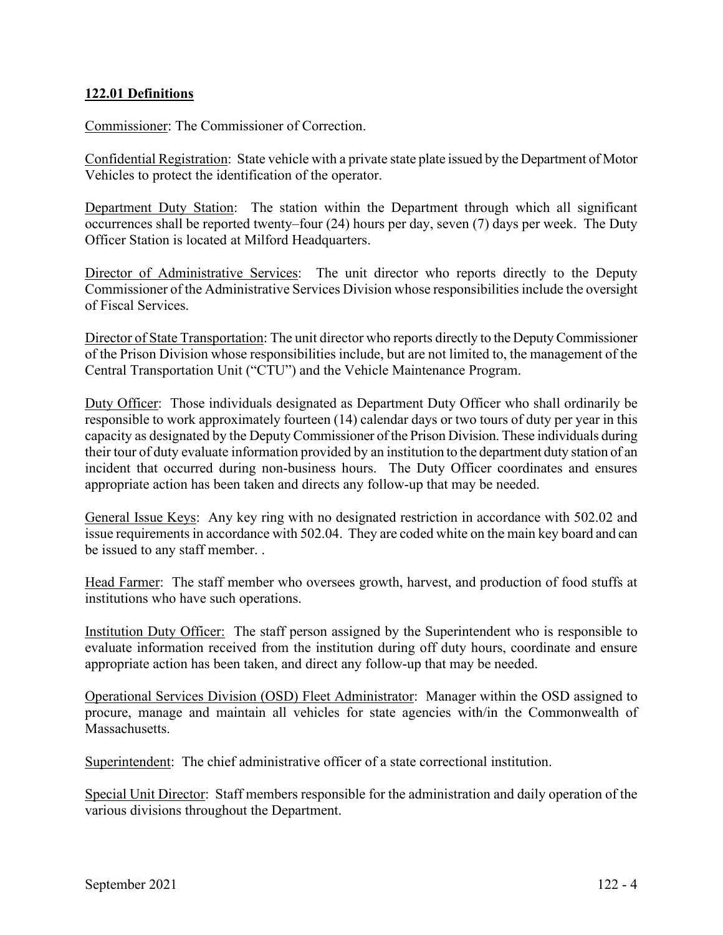# **122.01 Definitions**

Commissioner: The Commissioner of Correction.

Confidential Registration: State vehicle with a private state plate issued by the Department of Motor Vehicles to protect the identification of the operator.

Department Duty Station: The station within the Department through which all significant occurrences shall be reported twenty–four (24) hours per day, seven (7) days per week. The Duty Officer Station is located at Milford Headquarters.

Director of Administrative Services: The unit director who reports directly to the Deputy Commissioner of the Administrative Services Division whose responsibilities include the oversight of Fiscal Services.

Director of State Transportation: The unit director who reports directly to the Deputy Commissioner of the Prison Division whose responsibilities include, but are not limited to, the management of the Central Transportation Unit ("CTU") and the Vehicle Maintenance Program.

Duty Officer: Those individuals designated as Department Duty Officer who shall ordinarily be responsible to work approximately fourteen (14) calendar days or two tours of duty per year in this capacity as designated by the Deputy Commissioner of the Prison Division. These individuals during their tour of duty evaluate information provided by an institution to the department duty station of an incident that occurred during non-business hours. The Duty Officer coordinates and ensures appropriate action has been taken and directs any follow-up that may be needed.

General Issue Keys: Any key ring with no designated restriction in accordance with 502.02 and issue requirements in accordance with 502.04. They are coded white on the main key board and can be issued to any staff member. .

Head Farmer: The staff member who oversees growth, harvest, and production of food stuffs at institutions who have such operations.

Institution Duty Officer: The staff person assigned by the Superintendent who is responsible to evaluate information received from the institution during off duty hours, coordinate and ensure appropriate action has been taken, and direct any follow-up that may be needed.

Operational Services Division (OSD) Fleet Administrator: Manager within the OSD assigned to procure, manage and maintain all vehicles for state agencies with/in the Commonwealth of Massachusetts.

Superintendent: The chief administrative officer of a state correctional institution.

Special Unit Director: Staff members responsible for the administration and daily operation of the various divisions throughout the Department.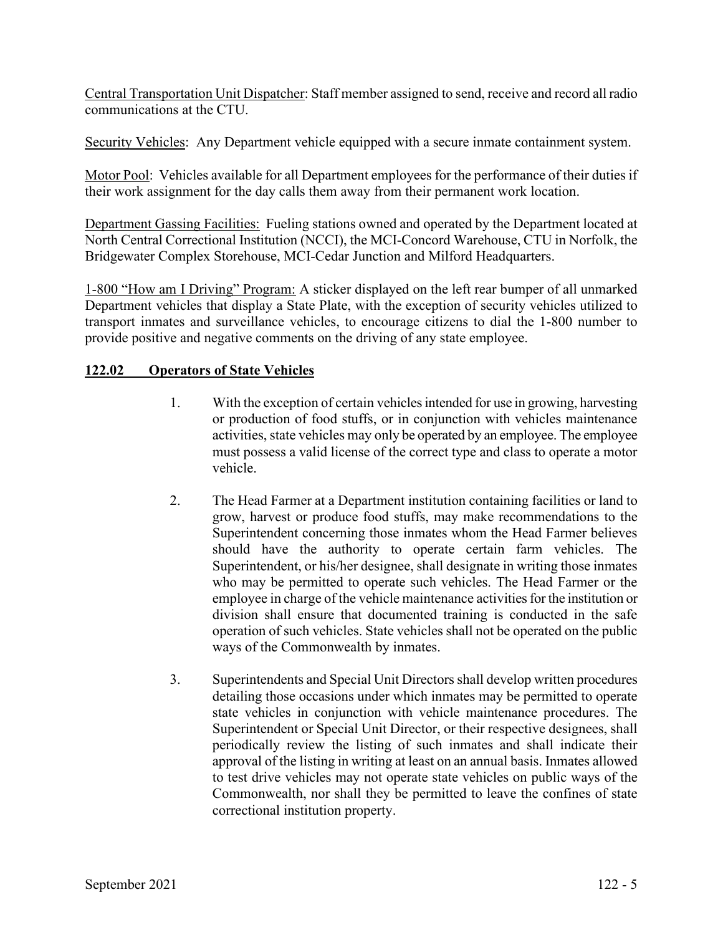Central Transportation Unit Dispatcher: Staff member assigned to send, receive and record all radio communications at the CTU.

Security Vehicles: Any Department vehicle equipped with a secure inmate containment system.

Motor Pool: Vehicles available for all Department employees for the performance of their duties if their work assignment for the day calls them away from their permanent work location.

Department Gassing Facilities: Fueling stations owned and operated by the Department located at North Central Correctional Institution (NCCI), the MCI-Concord Warehouse, CTU in Norfolk, the Bridgewater Complex Storehouse, MCI-Cedar Junction and Milford Headquarters.

1-800 "How am I Driving" Program: A sticker displayed on the left rear bumper of all unmarked Department vehicles that display a State Plate, with the exception of security vehicles utilized to transport inmates and surveillance vehicles, to encourage citizens to dial the 1-800 number to provide positive and negative comments on the driving of any state employee.

# **122.02 Operators of State Vehicles**

- 1. With the exception of certain vehicles intended for use in growing, harvesting or production of food stuffs, or in conjunction with vehicles maintenance activities, state vehicles may only be operated by an employee. The employee must possess a valid license of the correct type and class to operate a motor vehicle.
- 2. The Head Farmer at a Department institution containing facilities or land to grow, harvest or produce food stuffs, may make recommendations to the Superintendent concerning those inmates whom the Head Farmer believes should have the authority to operate certain farm vehicles. The Superintendent, or his/her designee, shall designate in writing those inmates who may be permitted to operate such vehicles. The Head Farmer or the employee in charge of the vehicle maintenance activities for the institution or division shall ensure that documented training is conducted in the safe operation of such vehicles. State vehicles shall not be operated on the public ways of the Commonwealth by inmates.
- 3. Superintendents and Special Unit Directors shall develop written procedures detailing those occasions under which inmates may be permitted to operate state vehicles in conjunction with vehicle maintenance procedures. The Superintendent or Special Unit Director, or their respective designees, shall periodically review the listing of such inmates and shall indicate their approval of the listing in writing at least on an annual basis. Inmates allowed to test drive vehicles may not operate state vehicles on public ways of the Commonwealth, nor shall they be permitted to leave the confines of state correctional institution property.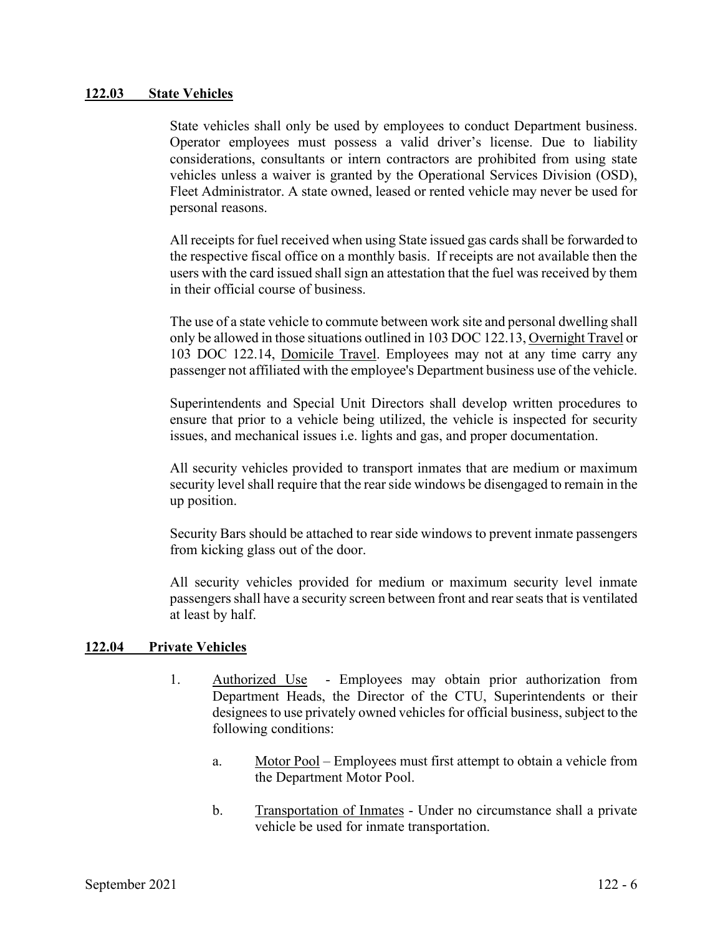### **122.03 State Vehicles**

State vehicles shall only be used by employees to conduct Department business. Operator employees must possess a valid driver's license. Due to liability considerations, consultants or intern contractors are prohibited from using state vehicles unless a waiver is granted by the Operational Services Division (OSD), Fleet Administrator. A state owned, leased or rented vehicle may never be used for personal reasons.

All receipts for fuel received when using State issued gas cards shall be forwarded to the respective fiscal office on a monthly basis. If receipts are not available then the users with the card issued shall sign an attestation that the fuel was received by them in their official course of business.

The use of a state vehicle to commute between work site and personal dwelling shall only be allowed in those situations outlined in 103 DOC 122.13, Overnight Travel or 103 DOC 122.14, Domicile Travel. Employees may not at any time carry any passenger not affiliated with the employee's Department business use of the vehicle.

Superintendents and Special Unit Directors shall develop written procedures to ensure that prior to a vehicle being utilized, the vehicle is inspected for security issues, and mechanical issues i.e. lights and gas, and proper documentation.

All security vehicles provided to transport inmates that are medium or maximum security level shall require that the rear side windows be disengaged to remain in the up position.

Security Bars should be attached to rear side windows to prevent inmate passengers from kicking glass out of the door.

All security vehicles provided for medium or maximum security level inmate passengers shall have a security screen between front and rear seats that is ventilated at least by half.

### **122.04 Private Vehicles**

- 1. Authorized Use Employees may obtain prior authorization from Department Heads, the Director of the CTU, Superintendents or their designees to use privately owned vehicles for official business, subject to the following conditions:
	- a. Motor Pool Employees must first attempt to obtain a vehicle from the Department Motor Pool.
	- b. Transportation of Inmates Under no circumstance shall a private vehicle be used for inmate transportation.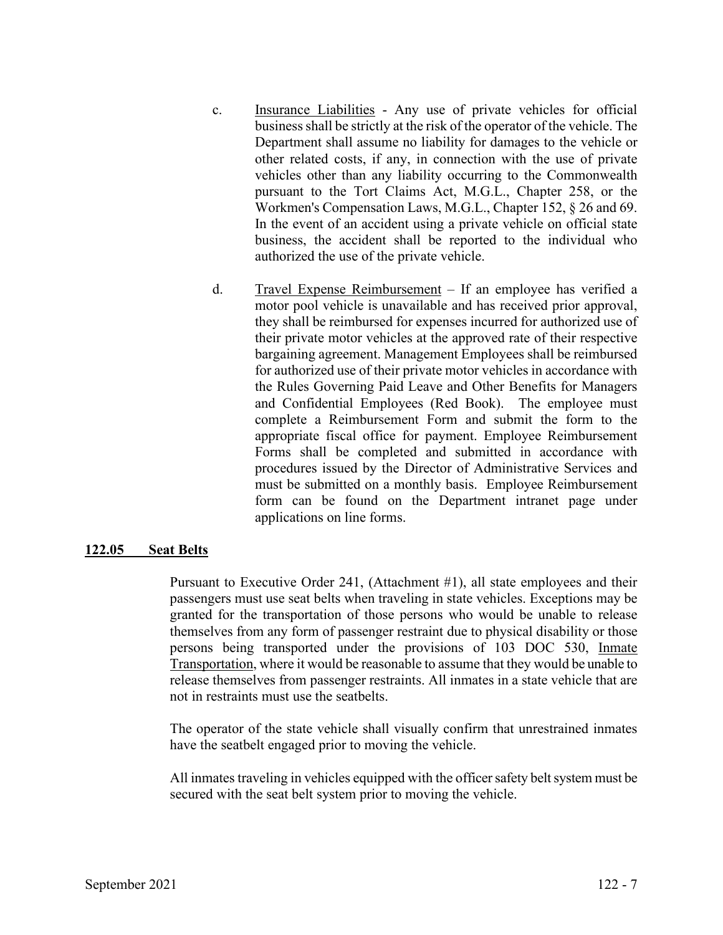- c. Insurance Liabilities Any use of private vehicles for official business shall be strictly at the risk of the operator of the vehicle. The Department shall assume no liability for damages to the vehicle or other related costs, if any, in connection with the use of private vehicles other than any liability occurring to the Commonwealth pursuant to the Tort Claims Act, M.G.L., Chapter 258, or the Workmen's Compensation Laws, M.G.L., Chapter 152, § 26 and 69. In the event of an accident using a private vehicle on official state business, the accident shall be reported to the individual who authorized the use of the private vehicle.
- d. Travel Expense Reimbursement If an employee has verified a motor pool vehicle is unavailable and has received prior approval, they shall be reimbursed for expenses incurred for authorized use of their private motor vehicles at the approved rate of their respective bargaining agreement. Management Employees shall be reimbursed for authorized use of their private motor vehicles in accordance with the Rules Governing Paid Leave and Other Benefits for Managers and Confidential Employees (Red Book). The employee must complete a Reimbursement Form and submit the form to the appropriate fiscal office for payment. Employee Reimbursement Forms shall be completed and submitted in accordance with procedures issued by the Director of Administrative Services and must be submitted on a monthly basis. Employee Reimbursement form can be found on the Department intranet page under applications on line forms.

### **122.05 Seat Belts**

Pursuant to Executive Order 241, (Attachment #1), all state employees and their passengers must use seat belts when traveling in state vehicles. Exceptions may be granted for the transportation of those persons who would be unable to release themselves from any form of passenger restraint due to physical disability or those persons being transported under the provisions of 103 DOC 530, Inmate Transportation, where it would be reasonable to assume that they would be unable to release themselves from passenger restraints. All inmates in a state vehicle that are not in restraints must use the seatbelts.

The operator of the state vehicle shall visually confirm that unrestrained inmates have the seatbelt engaged prior to moving the vehicle.

All inmates traveling in vehicles equipped with the officer safety belt system must be secured with the seat belt system prior to moving the vehicle.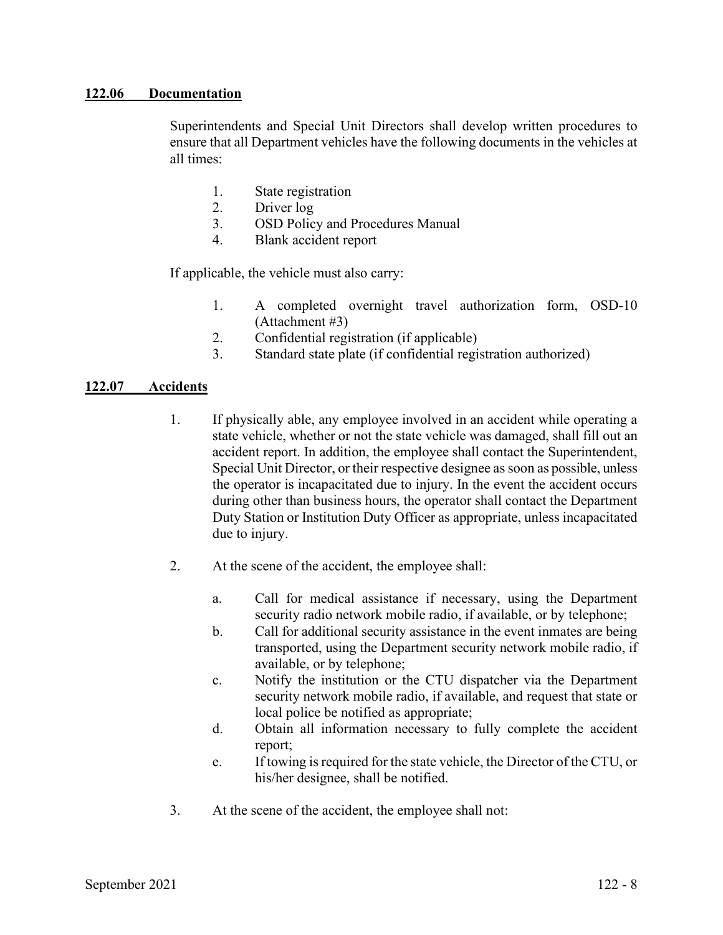#### **122.06 Documentation**

Superintendents and Special Unit Directors shall develop written procedures to ensure that all Department vehicles have the following documents in the vehicles at all times:

- 1. State registration
- 2. Driver log
- 3. OSD Policy and Procedures Manual
- 4. Blank accident report

If applicable, the vehicle must also carry:

- 1. A completed overnight travel authorization form, OSD-10 (Attachment #3)
- 2. Confidential registration (if applicable)
- 3. Standard state plate (if confidential registration authorized)

#### **122.07 Accidents**

- 1. If physically able, any employee involved in an accident while operating a state vehicle, whether or not the state vehicle was damaged, shall fill out an accident report. In addition, the employee shall contact the Superintendent, Special Unit Director, or their respective designee as soon as possible, unless the operator is incapacitated due to injury. In the event the accident occurs during other than business hours, the operator shall contact the Department Duty Station or Institution Duty Officer as appropriate, unless incapacitated due to injury.
- 2. At the scene of the accident, the employee shall:
	- a. Call for medical assistance if necessary, using the Department security radio network mobile radio, if available, or by telephone;
	- b. Call for additional security assistance in the event inmates are being transported, using the Department security network mobile radio, if available, or by telephone;
	- c. Notify the institution or the CTU dispatcher via the Department security network mobile radio, if available, and request that state or local police be notified as appropriate;
	- d. Obtain all information necessary to fully complete the accident report;
	- e. If towing is required for the state vehicle, the Director of the CTU, or his/her designee, shall be notified.
- 3. At the scene of the accident, the employee shall not: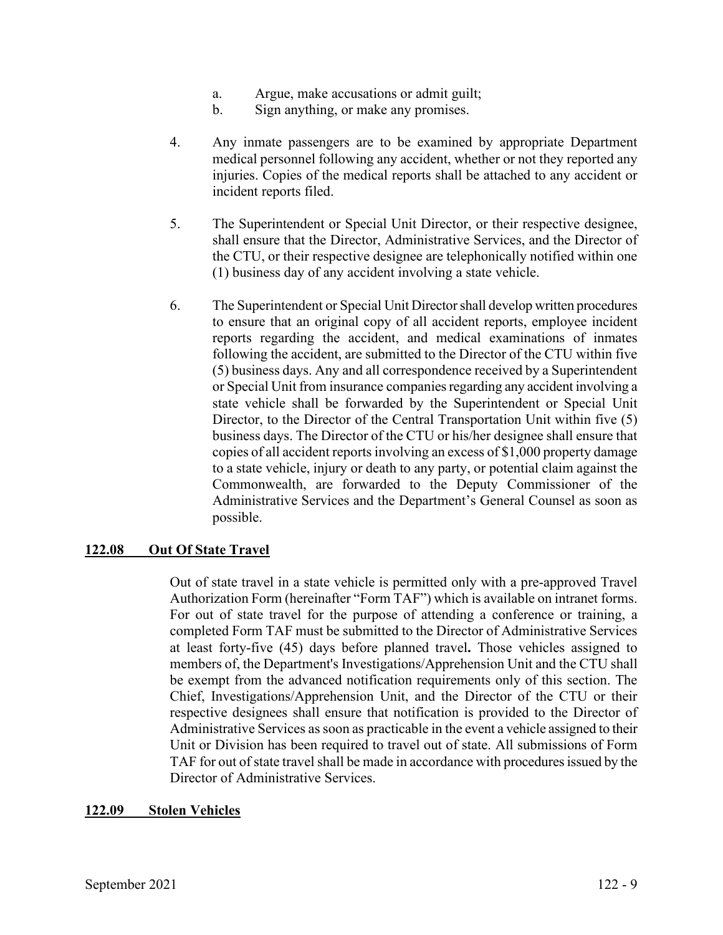- a. Argue, make accusations or admit guilt;
- b. Sign anything, or make any promises.
- 4. Any inmate passengers are to be examined by appropriate Department medical personnel following any accident, whether or not they reported any injuries. Copies of the medical reports shall be attached to any accident or incident reports filed.
- 5. The Superintendent or Special Unit Director, or their respective designee, shall ensure that the Director, Administrative Services, and the Director of the CTU, or their respective designee are telephonically notified within one (1) business day of any accident involving a state vehicle.
- 6. The Superintendent or Special Unit Director shall develop written procedures to ensure that an original copy of all accident reports, employee incident reports regarding the accident, and medical examinations of inmates following the accident, are submitted to the Director of the CTU within five (5) business days. Any and all correspondence received by a Superintendent or Special Unit from insurance companies regarding any accident involving a state vehicle shall be forwarded by the Superintendent or Special Unit Director, to the Director of the Central Transportation Unit within five (5) business days. The Director of the CTU or his/her designee shall ensure that copies of all accident reports involving an excess of \$1,000 property damage to a state vehicle, injury or death to any party, or potential claim against the Commonwealth, are forwarded to the Deputy Commissioner of the Administrative Services and the Department's General Counsel as soon as possible.

### **122.08 Out Of State Travel**

Out of state travel in a state vehicle is permitted only with a pre-approved Travel Authorization Form (hereinafter "Form TAF") which is available on intranet forms. For out of state travel for the purpose of attending a conference or training, a completed Form TAF must be submitted to the Director of Administrative Services at least forty-five (45) days before planned travel**.** Those vehicles assigned to members of, the Department's Investigations/Apprehension Unit and the CTU shall be exempt from the advanced notification requirements only of this section. The Chief, Investigations/Apprehension Unit, and the Director of the CTU or their respective designees shall ensure that notification is provided to the Director of Administrative Services as soon as practicable in the event a vehicle assigned to their Unit or Division has been required to travel out of state. All submissions of Form TAF for out of state travel shall be made in accordance with procedures issued by the Director of Administrative Services.

#### **122.09 Stolen Vehicles**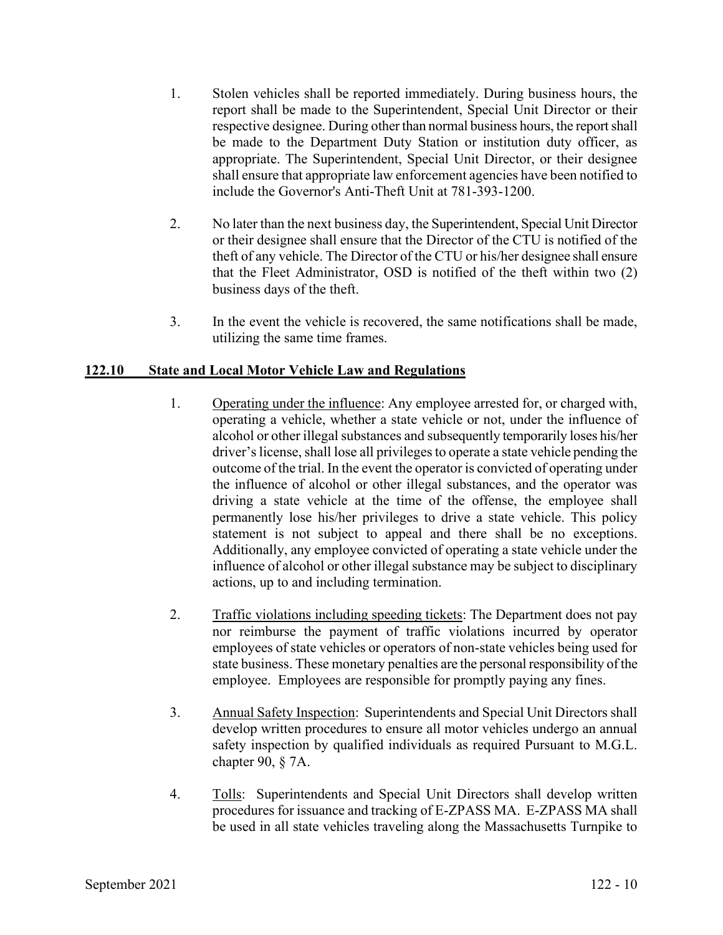- 1. Stolen vehicles shall be reported immediately. During business hours, the report shall be made to the Superintendent, Special Unit Director or their respective designee. During other than normal business hours, the report shall be made to the Department Duty Station or institution duty officer, as appropriate. The Superintendent, Special Unit Director, or their designee shall ensure that appropriate law enforcement agencies have been notified to include the Governor's Anti-Theft Unit at 781-393-1200.
- 2. No later than the next business day, the Superintendent, Special Unit Director or their designee shall ensure that the Director of the CTU is notified of the theft of any vehicle. The Director of the CTU or his/her designee shall ensure that the Fleet Administrator, OSD is notified of the theft within two (2) business days of the theft.
- 3. In the event the vehicle is recovered, the same notifications shall be made, utilizing the same time frames.

# **122.10 State and Local Motor Vehicle Law and Regulations**

- 1. Operating under the influence: Any employee arrested for, or charged with, operating a vehicle, whether a state vehicle or not, under the influence of alcohol or other illegal substances and subsequently temporarily loses his/her driver's license, shall lose all privileges to operate a state vehicle pending the outcome of the trial. In the event the operator is convicted of operating under the influence of alcohol or other illegal substances, and the operator was driving a state vehicle at the time of the offense, the employee shall permanently lose his/her privileges to drive a state vehicle. This policy statement is not subject to appeal and there shall be no exceptions. Additionally, any employee convicted of operating a state vehicle under the influence of alcohol or other illegal substance may be subject to disciplinary actions, up to and including termination.
- 2. Traffic violations including speeding tickets: The Department does not pay nor reimburse the payment of traffic violations incurred by operator employees of state vehicles or operators of non-state vehicles being used for state business. These monetary penalties are the personal responsibility of the employee. Employees are responsible for promptly paying any fines.
- 3. Annual Safety Inspection: Superintendents and Special Unit Directors shall develop written procedures to ensure all motor vehicles undergo an annual safety inspection by qualified individuals as required Pursuant to M.G.L. chapter 90, § 7A.
- 4. Tolls: Superintendents and Special Unit Directors shall develop written procedures for issuance and tracking of E-ZPASS MA. E-ZPASS MA shall be used in all state vehicles traveling along the Massachusetts Turnpike to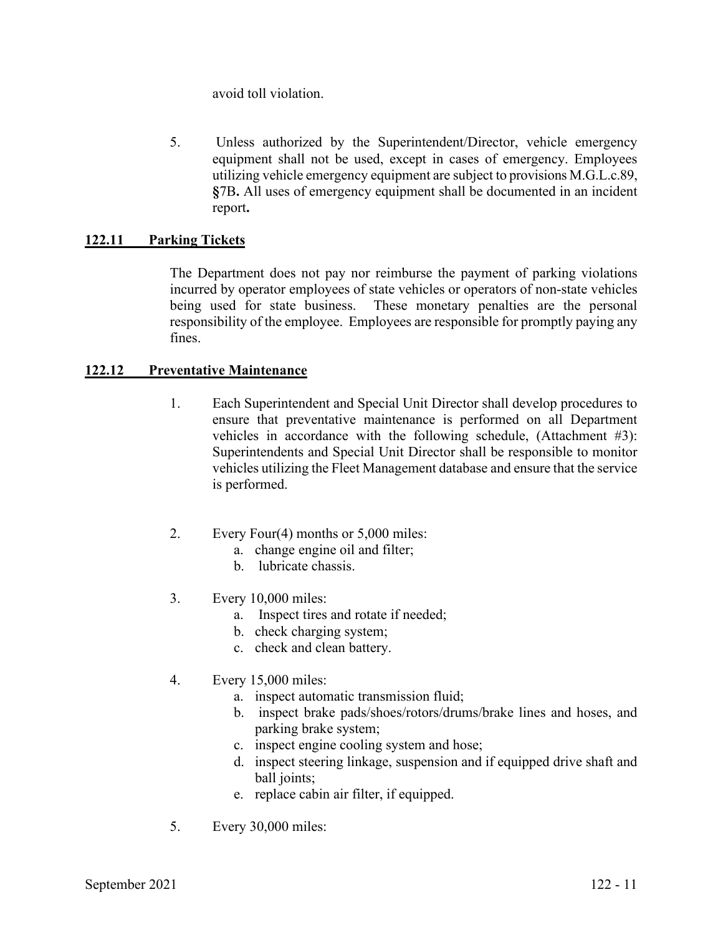avoid toll violation.

5. Unless authorized by the Superintendent/Director, vehicle emergency equipment shall not be used, except in cases of emergency. Employees utilizing vehicle emergency equipment are subject to provisions M.G.L.c.89, **§**7B**.** All uses of emergency equipment shall be documented in an incident report**.**

# **122.11 Parking Tickets**

The Department does not pay nor reimburse the payment of parking violations incurred by operator employees of state vehicles or operators of non-state vehicles being used for state business. These monetary penalties are the personal responsibility of the employee. Employees are responsible for promptly paying any fines.

### **122.12 Preventative Maintenance**

- 1. Each Superintendent and Special Unit Director shall develop procedures to ensure that preventative maintenance is performed on all Department vehicles in accordance with the following schedule, (Attachment #3): Superintendents and Special Unit Director shall be responsible to monitor vehicles utilizing the Fleet Management database and ensure that the service is performed.
- 2. Every Four(4) months or 5,000 miles:
	- a. change engine oil and filter;
	- b. lubricate chassis.
- 3. Every 10,000 miles:
	- a. Inspect tires and rotate if needed;
	- b. check charging system;
	- c. check and clean battery.
- 4. Every 15,000 miles:
	- a. inspect automatic transmission fluid;
	- b. inspect brake pads/shoes/rotors/drums/brake lines and hoses, and parking brake system;
	- c. inspect engine cooling system and hose;
	- d. inspect steering linkage, suspension and if equipped drive shaft and ball joints;
	- e. replace cabin air filter, if equipped.
- 5. Every 30,000 miles: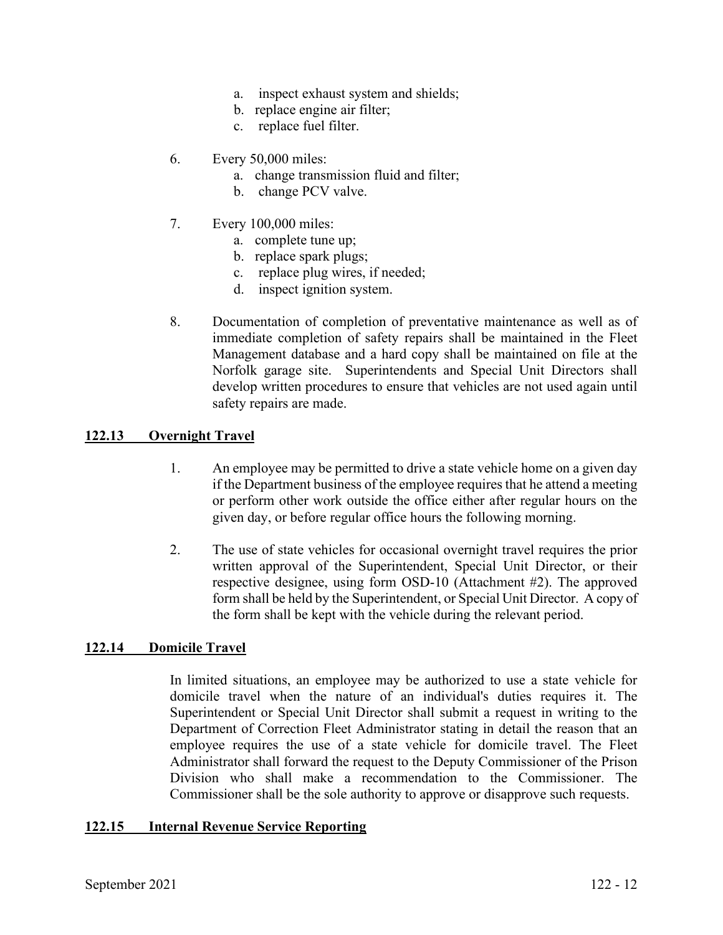- a. inspect exhaust system and shields;
- b. replace engine air filter;
- c. replace fuel filter.
- 6. Every 50,000 miles:
	- a. change transmission fluid and filter;
	- b. change PCV valve.
- 7. Every 100,000 miles:
	- a. complete tune up;
	- b. replace spark plugs;
	- c. replace plug wires, if needed;
	- d. inspect ignition system.
- 8. Documentation of completion of preventative maintenance as well as of immediate completion of safety repairs shall be maintained in the Fleet Management database and a hard copy shall be maintained on file at the Norfolk garage site. Superintendents and Special Unit Directors shall develop written procedures to ensure that vehicles are not used again until safety repairs are made.

### **122.13 Overnight Travel**

- 1. An employee may be permitted to drive a state vehicle home on a given day if the Department business of the employee requires that he attend a meeting or perform other work outside the office either after regular hours on the given day, or before regular office hours the following morning.
- 2. The use of state vehicles for occasional overnight travel requires the prior written approval of the Superintendent, Special Unit Director, or their respective designee, using form OSD-10 (Attachment #2). The approved form shall be held by the Superintendent, or Special Unit Director. A copy of the form shall be kept with the vehicle during the relevant period.

#### **122.14 Domicile Travel**

In limited situations, an employee may be authorized to use a state vehicle for domicile travel when the nature of an individual's duties requires it. The Superintendent or Special Unit Director shall submit a request in writing to the Department of Correction Fleet Administrator stating in detail the reason that an employee requires the use of a state vehicle for domicile travel. The Fleet Administrator shall forward the request to the Deputy Commissioner of the Prison Division who shall make a recommendation to the Commissioner. The Commissioner shall be the sole authority to approve or disapprove such requests.

#### **122.15 Internal Revenue Service Reporting**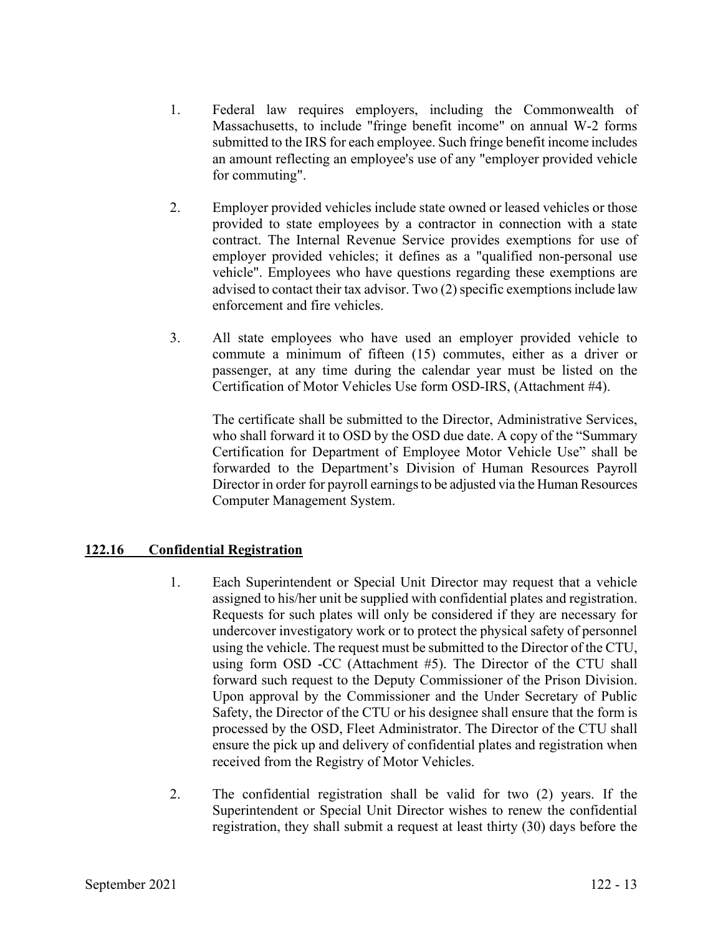- 1. Federal law requires employers, including the Commonwealth of Massachusetts, to include "fringe benefit income" on annual W-2 forms submitted to the IRS for each employee. Such fringe benefit income includes an amount reflecting an employee's use of any "employer provided vehicle for commuting".
- 2. Employer provided vehicles include state owned or leased vehicles or those provided to state employees by a contractor in connection with a state contract. The Internal Revenue Service provides exemptions for use of employer provided vehicles; it defines as a "qualified non-personal use vehicle". Employees who have questions regarding these exemptions are advised to contact their tax advisor. Two (2) specific exemptions include law enforcement and fire vehicles.
- 3. All state employees who have used an employer provided vehicle to commute a minimum of fifteen (15) commutes, either as a driver or passenger, at any time during the calendar year must be listed on the Certification of Motor Vehicles Use form OSD-IRS, (Attachment #4).

The certificate shall be submitted to the Director, Administrative Services, who shall forward it to OSD by the OSD due date. A copy of the "Summary Certification for Department of Employee Motor Vehicle Use" shall be forwarded to the Department's Division of Human Resources Payroll Director in order for payroll earnings to be adjusted via the Human Resources Computer Management System.

# **122.16 Confidential Registration**

- 1. Each Superintendent or Special Unit Director may request that a vehicle assigned to his/her unit be supplied with confidential plates and registration. Requests for such plates will only be considered if they are necessary for undercover investigatory work or to protect the physical safety of personnel using the vehicle. The request must be submitted to the Director of the CTU, using form OSD -CC (Attachment #5). The Director of the CTU shall forward such request to the Deputy Commissioner of the Prison Division. Upon approval by the Commissioner and the Under Secretary of Public Safety, the Director of the CTU or his designee shall ensure that the form is processed by the OSD, Fleet Administrator. The Director of the CTU shall ensure the pick up and delivery of confidential plates and registration when received from the Registry of Motor Vehicles.
- 2. The confidential registration shall be valid for two (2) years. If the Superintendent or Special Unit Director wishes to renew the confidential registration, they shall submit a request at least thirty (30) days before the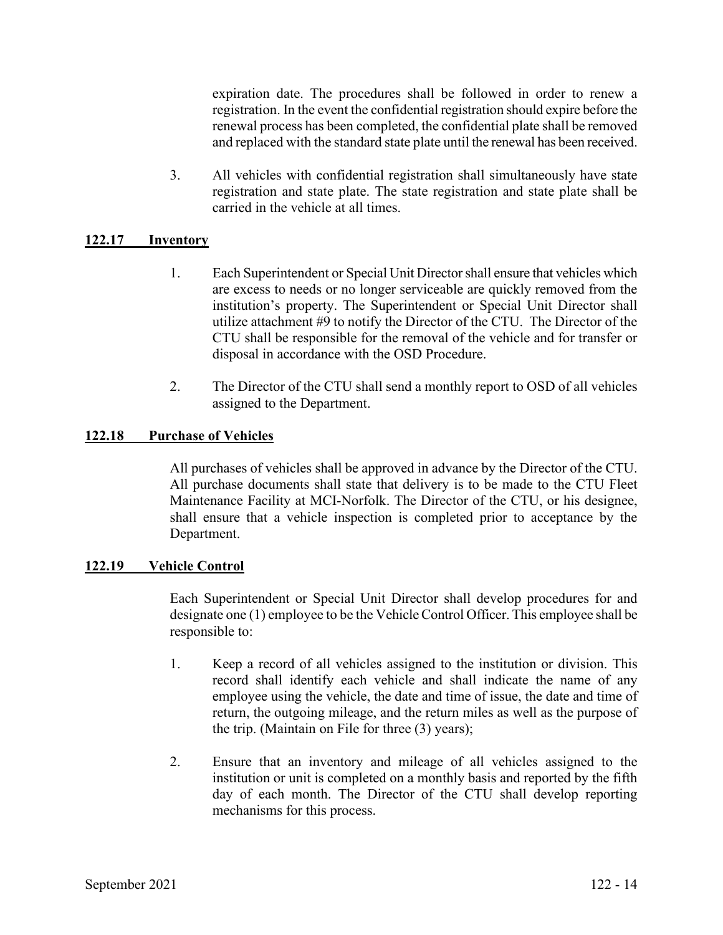expiration date. The procedures shall be followed in order to renew a registration. In the event the confidential registration should expire before the renewal process has been completed, the confidential plate shall be removed and replaced with the standard state plate until the renewal has been received.

3. All vehicles with confidential registration shall simultaneously have state registration and state plate. The state registration and state plate shall be carried in the vehicle at all times.

### **122.17 Inventory**

- 1. Each Superintendent or Special Unit Director shall ensure that vehicles which are excess to needs or no longer serviceable are quickly removed from the institution's property. The Superintendent or Special Unit Director shall utilize attachment #9 to notify the Director of the CTU. The Director of the CTU shall be responsible for the removal of the vehicle and for transfer or disposal in accordance with the OSD Procedure.
- 2. The Director of the CTU shall send a monthly report to OSD of all vehicles assigned to the Department.

## **122.18 Purchase of Vehicles**

All purchases of vehicles shall be approved in advance by the Director of the CTU. All purchase documents shall state that delivery is to be made to the CTU Fleet Maintenance Facility at MCI-Norfolk. The Director of the CTU, or his designee, shall ensure that a vehicle inspection is completed prior to acceptance by the Department.

### **122.19 Vehicle Control**

Each Superintendent or Special Unit Director shall develop procedures for and designate one (1) employee to be the Vehicle Control Officer. This employee shall be responsible to:

- 1. Keep a record of all vehicles assigned to the institution or division. This record shall identify each vehicle and shall indicate the name of any employee using the vehicle, the date and time of issue, the date and time of return, the outgoing mileage, and the return miles as well as the purpose of the trip. (Maintain on File for three (3) years);
- 2. Ensure that an inventory and mileage of all vehicles assigned to the institution or unit is completed on a monthly basis and reported by the fifth day of each month. The Director of the CTU shall develop reporting mechanisms for this process.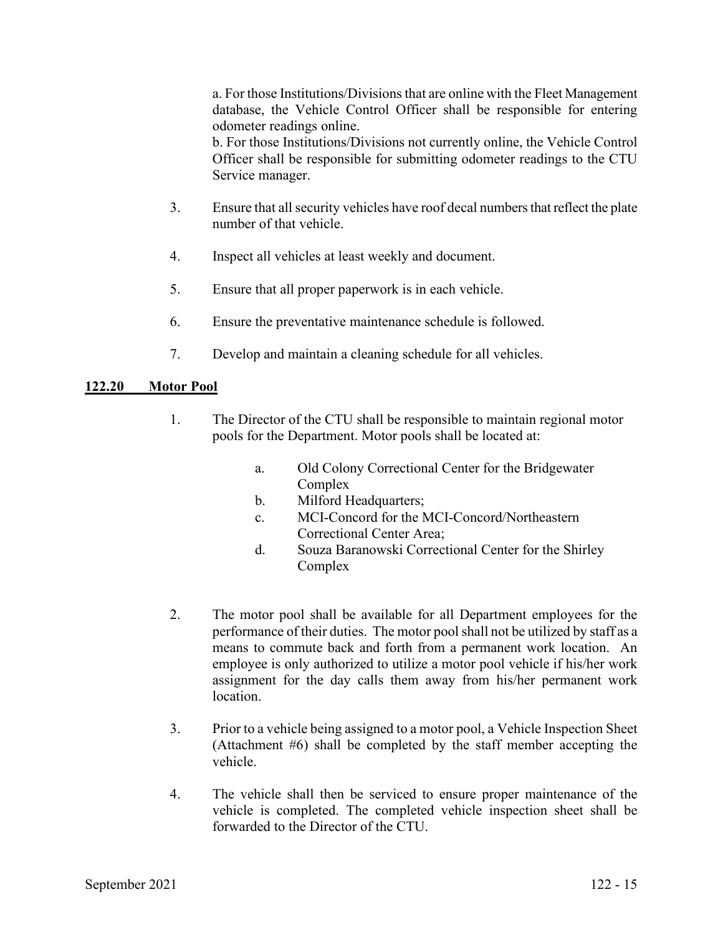a. For those Institutions/Divisions that are online with the Fleet Management database, the Vehicle Control Officer shall be responsible for entering odometer readings online.

b. For those Institutions/Divisions not currently online, the Vehicle Control Officer shall be responsible for submitting odometer readings to the CTU Service manager.

- 3. Ensure that all security vehicles have roof decal numbers that reflect the plate number of that vehicle.
- 4. Inspect all vehicles at least weekly and document.
- 5. Ensure that all proper paperwork is in each vehicle.
- 6. Ensure the preventative maintenance schedule is followed.
- 7. Develop and maintain a cleaning schedule for all vehicles.

### **122.20 Motor Pool**

- 1. The Director of the CTU shall be responsible to maintain regional motor pools for the Department. Motor pools shall be located at:
	- a. Old Colony Correctional Center for the Bridgewater Complex
	- b. Milford Headquarters;
	- c. MCI-Concord for the MCI-Concord/Northeastern Correctional Center Area;
	- d. Souza Baranowski Correctional Center for the Shirley Complex
- 2. The motor pool shall be available for all Department employees for the performance of their duties. The motor pool shall not be utilized by staff as a means to commute back and forth from a permanent work location. An employee is only authorized to utilize a motor pool vehicle if his/her work assignment for the day calls them away from his/her permanent work location.
- 3. Prior to a vehicle being assigned to a motor pool, a Vehicle Inspection Sheet (Attachment #6) shall be completed by the staff member accepting the vehicle.
- 4. The vehicle shall then be serviced to ensure proper maintenance of the vehicle is completed. The completed vehicle inspection sheet shall be forwarded to the Director of the CTU.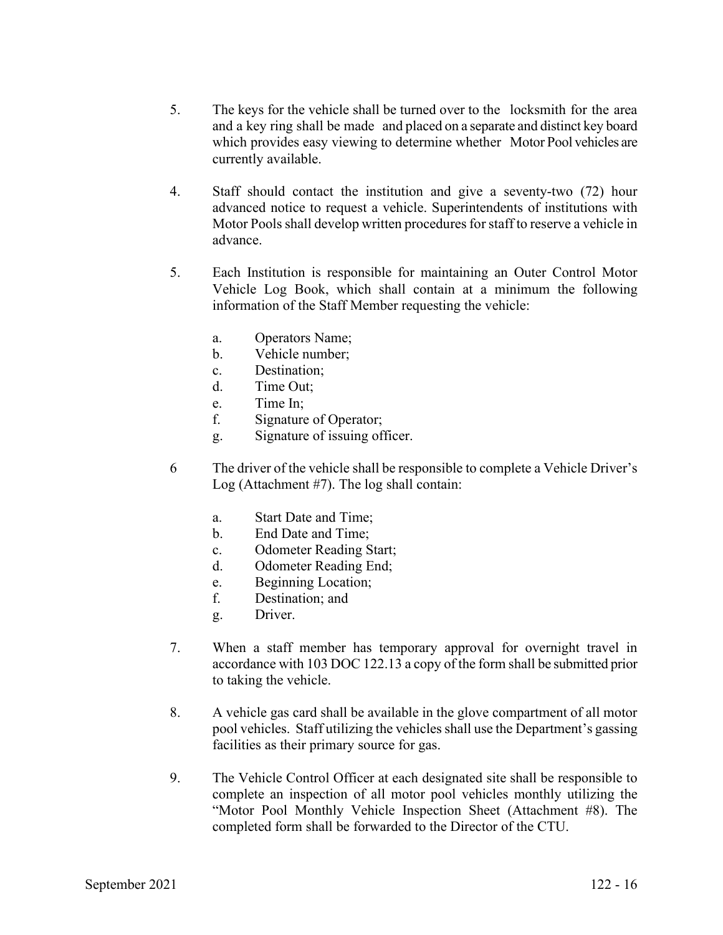- 5. The keys for the vehicle shall be turned over to the locksmith for the area and a key ring shall be made and placed on a separate and distinct key board which provides easy viewing to determine whether Motor Pool vehicles are currently available.
- 4. Staff should contact the institution and give a seventy-two (72) hour advanced notice to request a vehicle. Superintendents of institutions with Motor Pools shall develop written procedures for staff to reserve a vehicle in advance.
- 5. Each Institution is responsible for maintaining an Outer Control Motor Vehicle Log Book, which shall contain at a minimum the following information of the Staff Member requesting the vehicle:
	- a. Operators Name;
	- b. Vehicle number;
	- c. Destination;
	- d. Time Out;
	- e. Time In;
	- f. Signature of Operator;
	- g. Signature of issuing officer.
- 6 The driver of the vehicle shall be responsible to complete a Vehicle Driver's Log (Attachment #7). The log shall contain:
	- a. Start Date and Time;
	- b. End Date and Time;
	- c. Odometer Reading Start;
	- d. Odometer Reading End;
	- e. Beginning Location;
	- f. Destination; and
	- g. Driver.
- 7. When a staff member has temporary approval for overnight travel in accordance with 103 DOC 122.13 a copy of the form shall be submitted prior to taking the vehicle.
- 8. A vehicle gas card shall be available in the glove compartment of all motor pool vehicles. Staff utilizing the vehicles shall use the Department's gassing facilities as their primary source for gas.
- 9. The Vehicle Control Officer at each designated site shall be responsible to complete an inspection of all motor pool vehicles monthly utilizing the "Motor Pool Monthly Vehicle Inspection Sheet (Attachment #8). The completed form shall be forwarded to the Director of the CTU.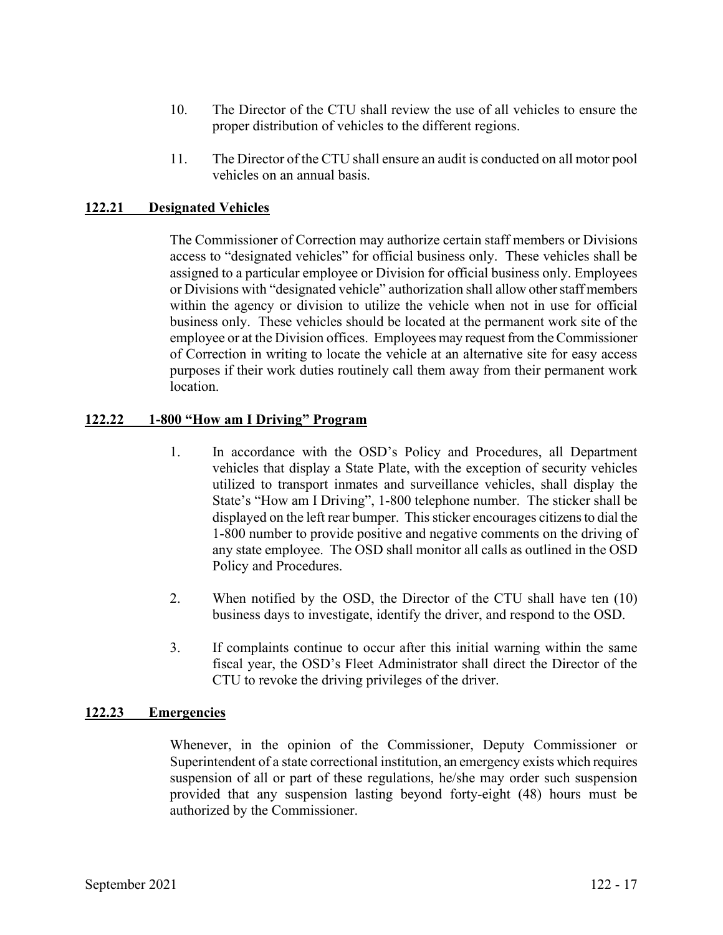- 10. The Director of the CTU shall review the use of all vehicles to ensure the proper distribution of vehicles to the different regions.
- 11. The Director of the CTU shall ensure an audit is conducted on all motor pool vehicles on an annual basis.

## **122.21 Designated Vehicles**

The Commissioner of Correction may authorize certain staff members or Divisions access to "designated vehicles" for official business only. These vehicles shall be assigned to a particular employee or Division for official business only. Employees or Divisions with "designated vehicle" authorization shall allow other staff members within the agency or division to utilize the vehicle when not in use for official business only. These vehicles should be located at the permanent work site of the employee or at the Division offices. Employees may request from the Commissioner of Correction in writing to locate the vehicle at an alternative site for easy access purposes if their work duties routinely call them away from their permanent work location.

#### **122.22 1-800 "How am I Driving" Program**

- 1. In accordance with the OSD's Policy and Procedures, all Department vehicles that display a State Plate, with the exception of security vehicles utilized to transport inmates and surveillance vehicles, shall display the State's "How am I Driving", 1-800 telephone number. The sticker shall be displayed on the left rear bumper. This sticker encourages citizens to dial the 1-800 number to provide positive and negative comments on the driving of any state employee. The OSD shall monitor all calls as outlined in the OSD Policy and Procedures.
- 2. When notified by the OSD, the Director of the CTU shall have ten (10) business days to investigate, identify the driver, and respond to the OSD.
- 3. If complaints continue to occur after this initial warning within the same fiscal year, the OSD's Fleet Administrator shall direct the Director of the CTU to revoke the driving privileges of the driver.

### **122.23 Emergencies**

Whenever, in the opinion of the Commissioner, Deputy Commissioner or Superintendent of a state correctional institution, an emergency exists which requires suspension of all or part of these regulations, he/she may order such suspension provided that any suspension lasting beyond forty-eight (48) hours must be authorized by the Commissioner.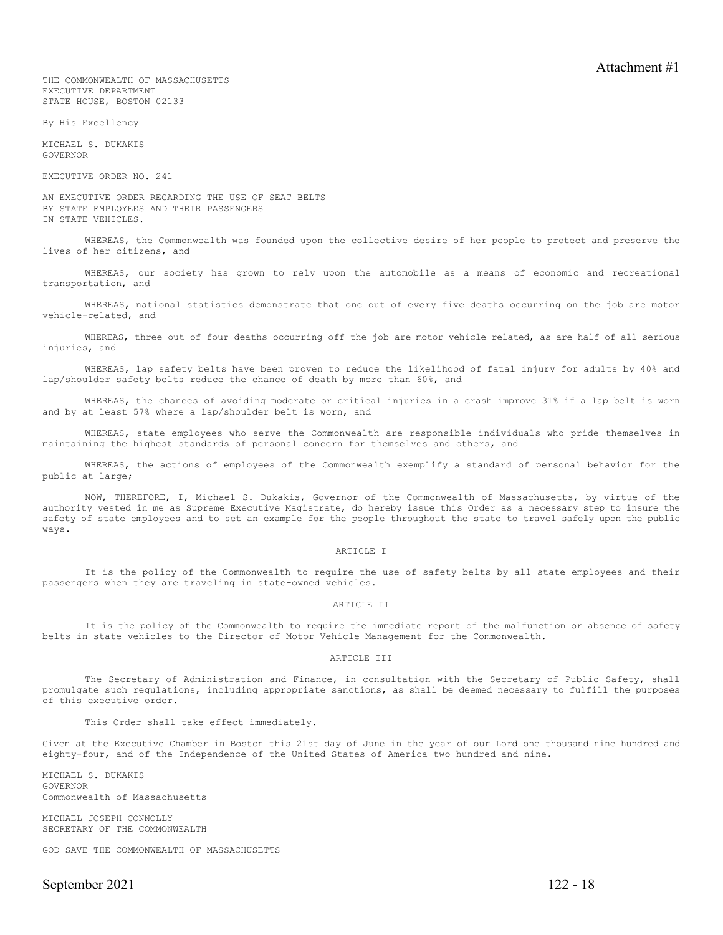THE COMMONWEALTH OF MASSACHUSETTS EXECUTIVE DEPARTMENT STATE HOUSE, BOSTON 02133

By His Excellency

MICHAEL S. DUKAKIS GOVERNOR

EXECUTIVE ORDER NO. 241

AN EXECUTIVE ORDER REGARDING THE USE OF SEAT BELTS BY STATE EMPLOYEES AND THEIR PASSENGERS IN STATE VEHICLES.

WHEREAS, the Commonwealth was founded upon the collective desire of her people to protect and preserve the lives of her citizens, and

WHEREAS, our society has grown to rely upon the automobile as a means of economic and recreational transportation, and

WHEREAS, national statistics demonstrate that one out of every five deaths occurring on the job are motor vehicle-related, and

WHEREAS, three out of four deaths occurring off the job are motor vehicle related, as are half of all serious injuries, and

WHEREAS, lap safety belts have been proven to reduce the likelihood of fatal injury for adults by 40% and lap/shoulder safety belts reduce the chance of death by more than 60%, and

WHEREAS, the chances of avoiding moderate or critical injuries in a crash improve 31% if a lap belt is worn and by at least 57% where a lap/shoulder belt is worn, and

WHEREAS, state employees who serve the Commonwealth are responsible individuals who pride themselves in maintaining the highest standards of personal concern for themselves and others, and

WHEREAS, the actions of employees of the Commonwealth exemplify a standard of personal behavior for the public at large;

NOW, THEREFORE, I, Michael S. Dukakis, Governor of the Commonwealth of Massachusetts, by virtue of the authority vested in me as Supreme Executive Magistrate, do hereby issue this Order as a necessary step to insure the safety of state employees and to set an example for the people throughout the state to travel safely upon the public ways.

#### ARTICLE I

It is the policy of the Commonwealth to require the use of safety belts by all state employees and their passengers when they are traveling in state-owned vehicles.

#### ARTICLE II

It is the policy of the Commonwealth to require the immediate report of the malfunction or absence of safety belts in state vehicles to the Director of Motor Vehicle Management for the Commonwealth.

#### ARTICLE III

The Secretary of Administration and Finance, in consultation with the Secretary of Public Safety, shall promulgate such regulations, including appropriate sanctions, as shall be deemed necessary to fulfill the purposes of this executive order.

This Order shall take effect immediately.

Given at the Executive Chamber in Boston this 21st day of June in the year of our Lord one thousand nine hundred and eighty-four, and of the Independence of the United States of America two hundred and nine.

MICHAEL S. DUKAKIS GOVERNOR Commonwealth of Massachusetts

MICHAEL JOSEPH CONNOLLY SECRETARY OF THE COMMONWEALTH

GOD SAVE THE COMMONWEALTH OF MASSACHUSETTS

September 2021 122 - 18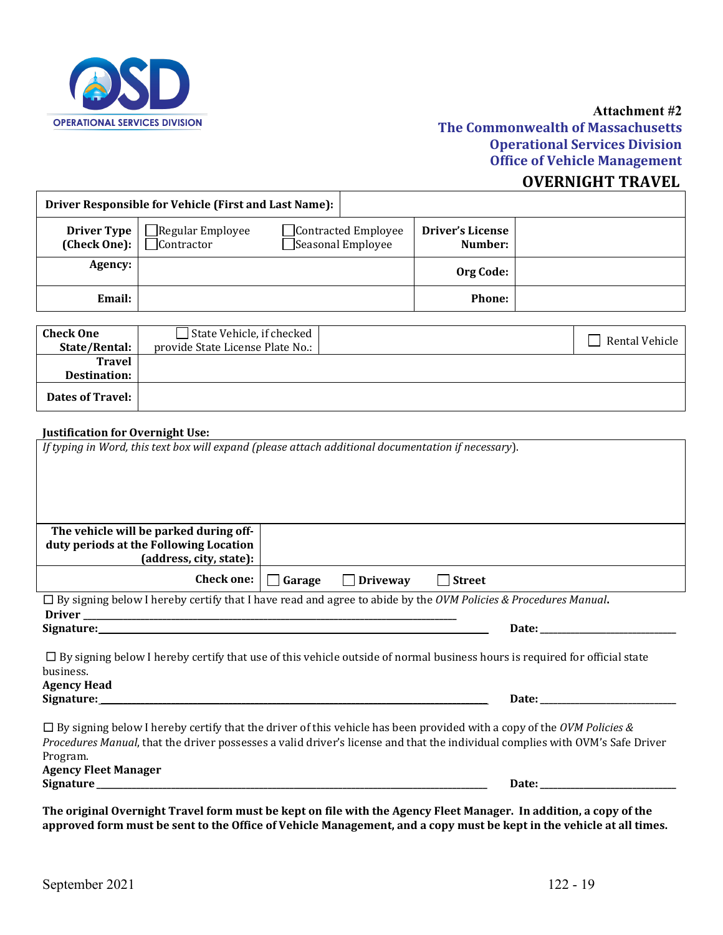

## **Attachment #2**

# **The Commonwealth of Massachusetts Operational Services Division Office of Vehicle Management**

# **OVERNIGHT TRAVEL**

|                                    | Driver Responsible for Vehicle (First and Last Name): |                                                 |                                    |  |
|------------------------------------|-------------------------------------------------------|-------------------------------------------------|------------------------------------|--|
| <b>Driver Type</b><br>(Check One): | Regular Employee<br>Contractor                        | $\Box$ Contracted Employee<br>Seasonal Employee | <b>Driver's License</b><br>Number: |  |
| Agency:                            |                                                       |                                                 | Org Code:                          |  |
| Email:                             |                                                       |                                                 | <b>Phone:</b>                      |  |

| <b>Check One</b><br>State/Rental:    | State Vehicle, if checked<br>provide State License Plate No.: | Rental Vehicle |
|--------------------------------------|---------------------------------------------------------------|----------------|
| <b>Travel</b><br><b>Destination:</b> |                                                               |                |
| <b>Dates of Travel:</b>              |                                                               |                |

#### **Justification for Overnight Use:**

| If typing in Word, this text box will expand (please attach additional documentation if necessary).                                                                     |               |                 |                                                                                                                                                                                                                                |
|-------------------------------------------------------------------------------------------------------------------------------------------------------------------------|---------------|-----------------|--------------------------------------------------------------------------------------------------------------------------------------------------------------------------------------------------------------------------------|
| The vehicle will be parked during off-<br>duty periods at the Following Location<br>(address, city, state):                                                             |               |                 |                                                                                                                                                                                                                                |
| Check one:                                                                                                                                                              | $\Box$ Garage | $\Box$ Driveway | $\Box$ Street                                                                                                                                                                                                                  |
| $\Box$ By signing below I hereby certify that I have read and agree to abide by the OVM Policies & Procedures Manual.                                                   |               |                 |                                                                                                                                                                                                                                |
|                                                                                                                                                                         |               |                 | Date: the contract of the contract of the contract of the contract of the contract of the contract of the contract of the contract of the contract of the contract of the contract of the contract of the contract of the cont |
| business.<br><b>Agency Head</b>                                                                                                                                         |               |                 | $\Box$ By signing below I hereby certify that use of this vehicle outside of normal business hours is required for official state                                                                                              |
|                                                                                                                                                                         |               |                 |                                                                                                                                                                                                                                |
| $\Box$ By signing below I hereby certify that the driver of this vehicle has been provided with a copy of the OVM Policies &<br>Program.<br><b>Agency Fleet Manager</b> |               |                 | Procedures Manual, that the driver possesses a valid driver's license and that the individual complies with OVM's Safe Driver                                                                                                  |
|                                                                                                                                                                         |               |                 | Date: the contract of the contract of the contract of the contract of the contract of the contract of the contract of the contract of the contract of the contract of the contract of the contract of the contract of the cont |
|                                                                                                                                                                         |               |                 | The eriginal Overnight Travel form must be kent on file with the Agency Fleet Manager. In addition, a convert ho                                                                                                               |

**The original Overnight Travel form must be kept on file with the Agency Fleet Manager. In addition, a copy of the approved form must be sent to the Office of Vehicle Management, and a copy must be kept in the vehicle at all times.**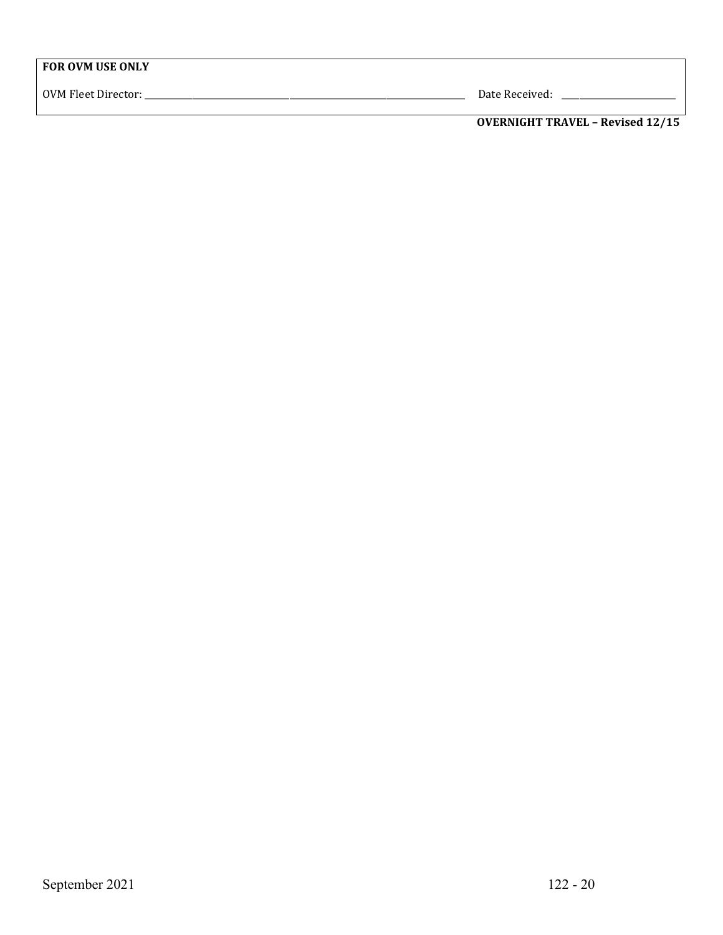OVM Fleet Director: \_\_\_\_\_\_\_\_\_\_\_\_\_\_\_\_\_\_\_\_\_\_\_\_\_\_\_\_\_\_\_\_\_\_\_\_\_\_\_\_\_\_\_\_\_\_\_\_\_\_\_\_\_\_\_\_\_\_\_\_\_\_\_\_\_\_\_\_\_\_\_\_\_ Date Received: \_\_\_\_\_\_\_\_\_\_\_\_\_\_\_\_\_\_\_\_\_\_\_\_\_\_

**OVERNIGHT TRAVEL – Revised 12/15**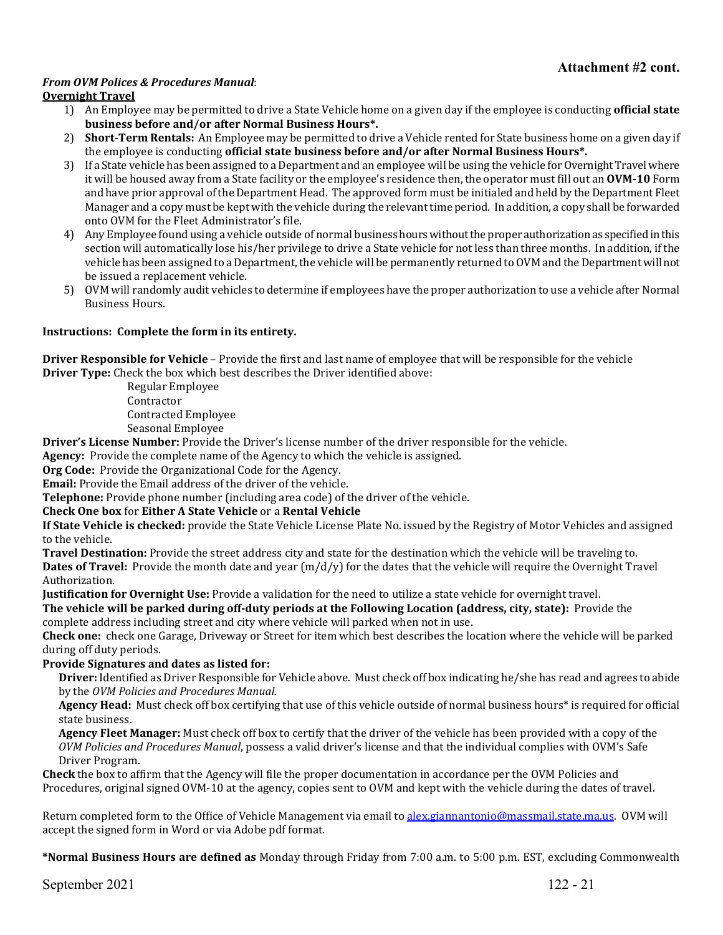#### *From OVM Polices & Procedures Manual*:

#### **Overnight Travel**

- 1) An Employee may be permitted to drive a State Vehicle home on a given day if the employee is conducting **official state business before and/or after Normal Business Hours\*.**
- 2) **Short-Term Rentals:** An Employee may be permitted to drive a Vehicle rented for State business home on a given day if the employee is conducting **official state business before and/or after Normal Business Hours\*.**
- 3) If a State vehicle has been assigned to a Department and an employee will be using the vehicle for Overnight Travel where it will be housed away from a State facility or the employee's residence then, the operator must fill out an **OVM-10** Form and have prior approval of the Department Head. The approved form must be initialed and held by the Department Fleet Manager and a copy must be kept with the vehicle during the relevant time period. In addition, a copy shall be forwarded onto OVM for the Fleet Administrator's file.
- 4) Any Employee found using a vehicle outside of normal business hours without the proper authorization as specified in this section will automatically lose his/her privilege to drive a State vehicle for not less than three months. In addition, if the vehicle has been assigned to a Department, the vehicle will be permanently returned to OVM and the Department will not be issued a replacement vehicle.
- 5) OVM will randomly audit vehicles to determine if employees have the proper authorization to use a vehicle after Normal Business Hours.

#### **Instructions: Complete the form in its entirety.**

**Driver Responsible for Vehicle** – Provide the first and last name of employee that will be responsible for the vehicle **Driver Type:** Check the box which best describes the Driver identified above:

> Regular Employee Contractor Contracted Employee Seasonal Employee

**Driver's License Number:** Provide the Driver's license number of the driver responsible for the vehicle.

**Agency:** Provide the complete name of the Agency to which the vehicle is assigned.

**Org Code:** Provide the Organizational Code for the Agency.

**Email:** Provide the Email address of the driver of the vehicle.

**Telephone:** Provide phone number (including area code) of the driver of the vehicle.

#### **Check One box** for **Either A State Vehicle** or a **Rental Vehicle**

**If State Vehicle is checked:** provide the State Vehicle License Plate No. issued by the Registry of Motor Vehicles and assigned to the vehicle.

**Travel Destination:** Provide the street address city and state for the destination which the vehicle will be traveling to. **Dates of Travel:** Provide the month date and year (m/d/y) for the dates that the vehicle will require the Overnight Travel Authorization.

**Justification for Overnight Use:** Provide a validation for the need to utilize a state vehicle for overnight travel.

**The vehicle will be parked during off-duty periods at the Following Location (address, city, state):** Provide the complete address including street and city where vehicle will parked when not in use.

**Check one:** check one Garage, Driveway or Street for item which best describes the location where the vehicle will be parked during off duty periods.

#### **Provide Signatures and dates as listed for:**

**Driver:** Identified as Driver Responsible for Vehicle above. Must check off box indicating he/she has read and agrees to abide by the *OVM Policies and Procedures Manual.*

**Agency Head:** Must check off box certifying that use of this vehicle outside of normal business hours\* is required for official state business.

**Agency Fleet Manager:** Must check off box to certify that the driver of the vehicle has been provided with a copy of the *OVM Policies and Procedures Manual*, possess a valid driver's license and that the individual complies with OVM's Safe Driver Program.

**Check** the box to affirm that the Agency will file the proper documentation in accordance per the OVM Policies and Procedures, original signed OVM-10 at the agency, copies sent to OVM and kept with the vehicle during the dates of travel.

Return completed form to the Office of Vehicle Management via email to [alex.giannantonio@massmail.state.ma.us.](mailto:alex.giannantonio@massmail.state.ma.us) OVM will accept the signed form in Word or via Adobe pdf format.

**\*Normal Business Hours are defined as** Monday through Friday from 7:00 a.m. to 5:00 p.m. EST, excluding Commonwealth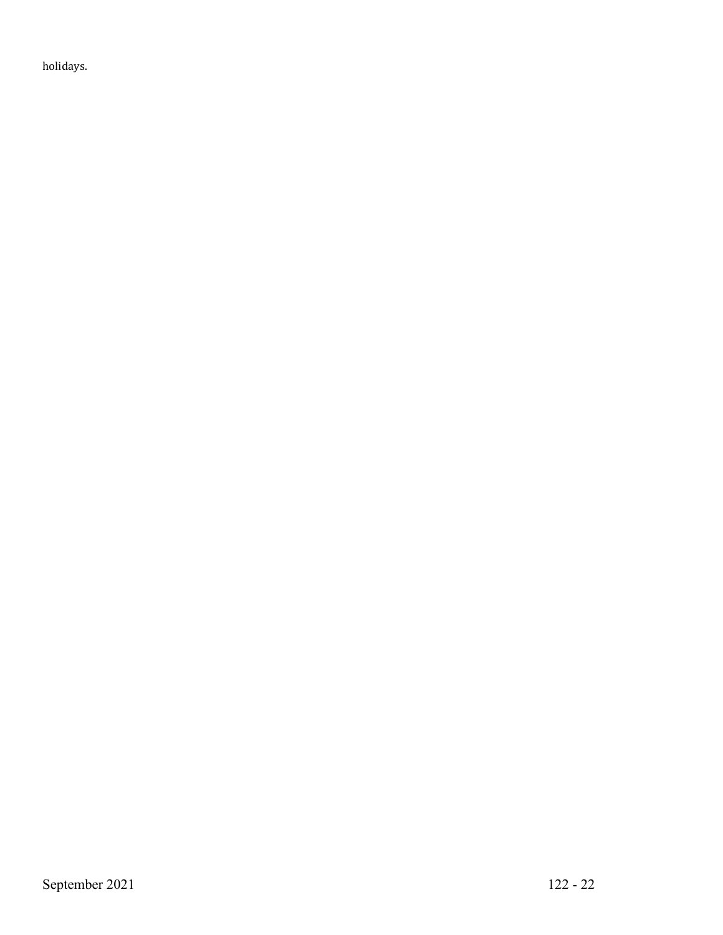holidays.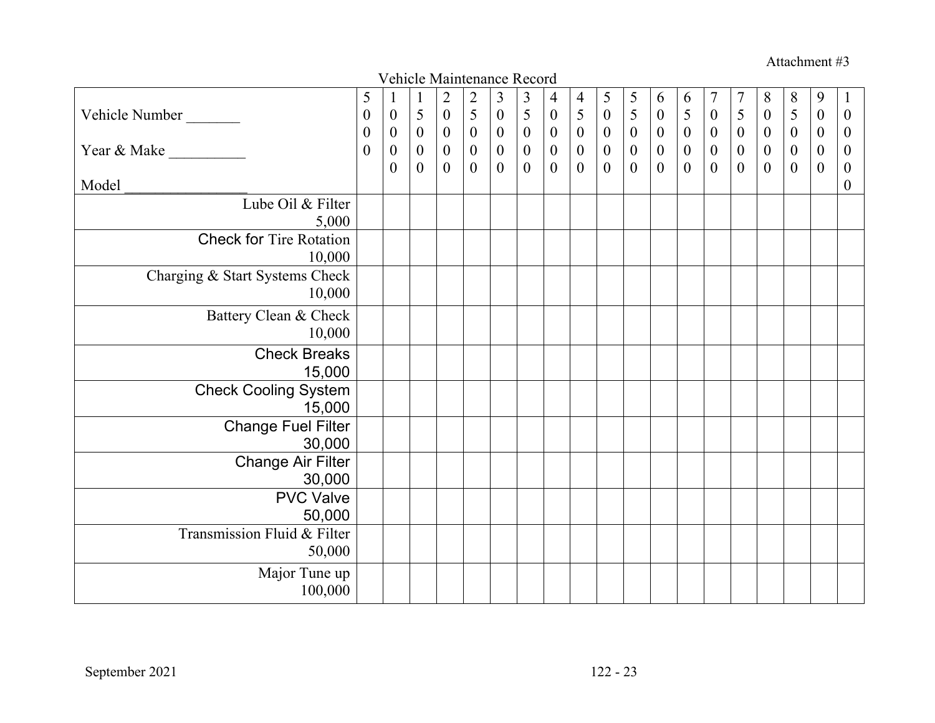Attachment #3

|                                          |                                      |                                      |                       | Vehicle Maintenance Record           |                                       |                                      |                                            |                                      |                       |                                      |                                                 |                                      |                                    |                                      |                                  |                                      |                       |                                      |                                      |
|------------------------------------------|--------------------------------------|--------------------------------------|-----------------------|--------------------------------------|---------------------------------------|--------------------------------------|--------------------------------------------|--------------------------------------|-----------------------|--------------------------------------|-------------------------------------------------|--------------------------------------|------------------------------------|--------------------------------------|----------------------------------|--------------------------------------|-----------------------|--------------------------------------|--------------------------------------|
|                                          | 5                                    | $\mathbf{1}$                         | $\mathbf{1}$          | $\overline{c}$                       | $\begin{array}{c} 2 \\ 5 \end{array}$ | $\mathfrak{Z}$                       |                                            | $\overline{4}$                       | 4                     | $\mathfrak s$                        | $\begin{array}{c} 5 \\ 5 \\ 0 \\ 0 \end{array}$ | 6                                    | 6                                  | $\overline{7}$                       | $\overline{7}$<br>$\overline{5}$ | 8                                    | $8\,$                 | 9                                    | $\mathbf{I}$                         |
| Vehicle Number                           | $\boldsymbol{0}$<br>$\boldsymbol{0}$ | $\boldsymbol{0}$<br>$\boldsymbol{0}$ | 5<br>$\boldsymbol{0}$ | $\boldsymbol{0}$<br>$\boldsymbol{0}$ | $\boldsymbol{0}$                      | $\boldsymbol{0}$<br>$\boldsymbol{0}$ | $\begin{array}{c} 3 \\ 5 \\ 0 \end{array}$ | $\boldsymbol{0}$<br>$\boldsymbol{0}$ | 5<br>$\boldsymbol{0}$ | $\boldsymbol{0}$<br>$\boldsymbol{0}$ |                                                 | $\boldsymbol{0}$<br>$\boldsymbol{0}$ | $\overline{5}$<br>$\boldsymbol{0}$ | $\boldsymbol{0}$<br>$\boldsymbol{0}$ | $\boldsymbol{0}$                 | $\boldsymbol{0}$<br>$\boldsymbol{0}$ | 5<br>$\boldsymbol{0}$ | $\boldsymbol{0}$<br>$\boldsymbol{0}$ | $\boldsymbol{0}$<br>$\boldsymbol{0}$ |
| Year & Make                              | $\boldsymbol{0}$                     | $\boldsymbol{0}$                     | $\boldsymbol{0}$      | $\boldsymbol{0}$                     | $\boldsymbol{0}$                      | $\boldsymbol{0}$                     | $\boldsymbol{0}$                           | $\boldsymbol{0}$                     | $\boldsymbol{0}$      | $\boldsymbol{0}$                     |                                                 | $\boldsymbol{0}$                     | $\boldsymbol{0}$                   | $\boldsymbol{0}$                     | $\boldsymbol{0}$                 | $\boldsymbol{0}$                     | $\boldsymbol{0}$      | $\boldsymbol{0}$                     | $\boldsymbol{0}$                     |
|                                          |                                      | $\overline{0}$                       | $\mathbf{0}$          | $\mathbf{0}$                         | $\boldsymbol{0}$                      | $\boldsymbol{0}$                     | $\overline{0}$                             | $\boldsymbol{0}$                     | $\mathbf{0}$          | $\boldsymbol{0}$                     | $\overline{0}$                                  | $\boldsymbol{0}$                     | $\mathbf{0}$                       | $\boldsymbol{0}$                     | $\boldsymbol{0}$                 | $\boldsymbol{0}$                     | $\boldsymbol{0}$      | $\boldsymbol{0}$                     | $\boldsymbol{0}$                     |
| Model                                    |                                      |                                      |                       |                                      |                                       |                                      |                                            |                                      |                       |                                      |                                                 |                                      |                                    |                                      |                                  |                                      |                       |                                      | $\boldsymbol{0}$                     |
| Lube Oil & Filter                        |                                      |                                      |                       |                                      |                                       |                                      |                                            |                                      |                       |                                      |                                                 |                                      |                                    |                                      |                                  |                                      |                       |                                      |                                      |
| 5,000                                    |                                      |                                      |                       |                                      |                                       |                                      |                                            |                                      |                       |                                      |                                                 |                                      |                                    |                                      |                                  |                                      |                       |                                      |                                      |
| <b>Check for Tire Rotation</b><br>10,000 |                                      |                                      |                       |                                      |                                       |                                      |                                            |                                      |                       |                                      |                                                 |                                      |                                    |                                      |                                  |                                      |                       |                                      |                                      |
| Charging & Start Systems Check           |                                      |                                      |                       |                                      |                                       |                                      |                                            |                                      |                       |                                      |                                                 |                                      |                                    |                                      |                                  |                                      |                       |                                      |                                      |
| 10,000                                   |                                      |                                      |                       |                                      |                                       |                                      |                                            |                                      |                       |                                      |                                                 |                                      |                                    |                                      |                                  |                                      |                       |                                      |                                      |
| Battery Clean & Check                    |                                      |                                      |                       |                                      |                                       |                                      |                                            |                                      |                       |                                      |                                                 |                                      |                                    |                                      |                                  |                                      |                       |                                      |                                      |
| 10,000                                   |                                      |                                      |                       |                                      |                                       |                                      |                                            |                                      |                       |                                      |                                                 |                                      |                                    |                                      |                                  |                                      |                       |                                      |                                      |
| <b>Check Breaks</b>                      |                                      |                                      |                       |                                      |                                       |                                      |                                            |                                      |                       |                                      |                                                 |                                      |                                    |                                      |                                  |                                      |                       |                                      |                                      |
| 15,000                                   |                                      |                                      |                       |                                      |                                       |                                      |                                            |                                      |                       |                                      |                                                 |                                      |                                    |                                      |                                  |                                      |                       |                                      |                                      |
| <b>Check Cooling System</b>              |                                      |                                      |                       |                                      |                                       |                                      |                                            |                                      |                       |                                      |                                                 |                                      |                                    |                                      |                                  |                                      |                       |                                      |                                      |
| 15,000                                   |                                      |                                      |                       |                                      |                                       |                                      |                                            |                                      |                       |                                      |                                                 |                                      |                                    |                                      |                                  |                                      |                       |                                      |                                      |
| <b>Change Fuel Filter</b>                |                                      |                                      |                       |                                      |                                       |                                      |                                            |                                      |                       |                                      |                                                 |                                      |                                    |                                      |                                  |                                      |                       |                                      |                                      |
| 30,000                                   |                                      |                                      |                       |                                      |                                       |                                      |                                            |                                      |                       |                                      |                                                 |                                      |                                    |                                      |                                  |                                      |                       |                                      |                                      |
| <b>Change Air Filter</b><br>30,000       |                                      |                                      |                       |                                      |                                       |                                      |                                            |                                      |                       |                                      |                                                 |                                      |                                    |                                      |                                  |                                      |                       |                                      |                                      |
| <b>PVC</b> Valve                         |                                      |                                      |                       |                                      |                                       |                                      |                                            |                                      |                       |                                      |                                                 |                                      |                                    |                                      |                                  |                                      |                       |                                      |                                      |
| 50,000                                   |                                      |                                      |                       |                                      |                                       |                                      |                                            |                                      |                       |                                      |                                                 |                                      |                                    |                                      |                                  |                                      |                       |                                      |                                      |
| Transmission Fluid & Filter              |                                      |                                      |                       |                                      |                                       |                                      |                                            |                                      |                       |                                      |                                                 |                                      |                                    |                                      |                                  |                                      |                       |                                      |                                      |
| 50,000                                   |                                      |                                      |                       |                                      |                                       |                                      |                                            |                                      |                       |                                      |                                                 |                                      |                                    |                                      |                                  |                                      |                       |                                      |                                      |
| Major Tune up                            |                                      |                                      |                       |                                      |                                       |                                      |                                            |                                      |                       |                                      |                                                 |                                      |                                    |                                      |                                  |                                      |                       |                                      |                                      |
| 100,000                                  |                                      |                                      |                       |                                      |                                       |                                      |                                            |                                      |                       |                                      |                                                 |                                      |                                    |                                      |                                  |                                      |                       |                                      |                                      |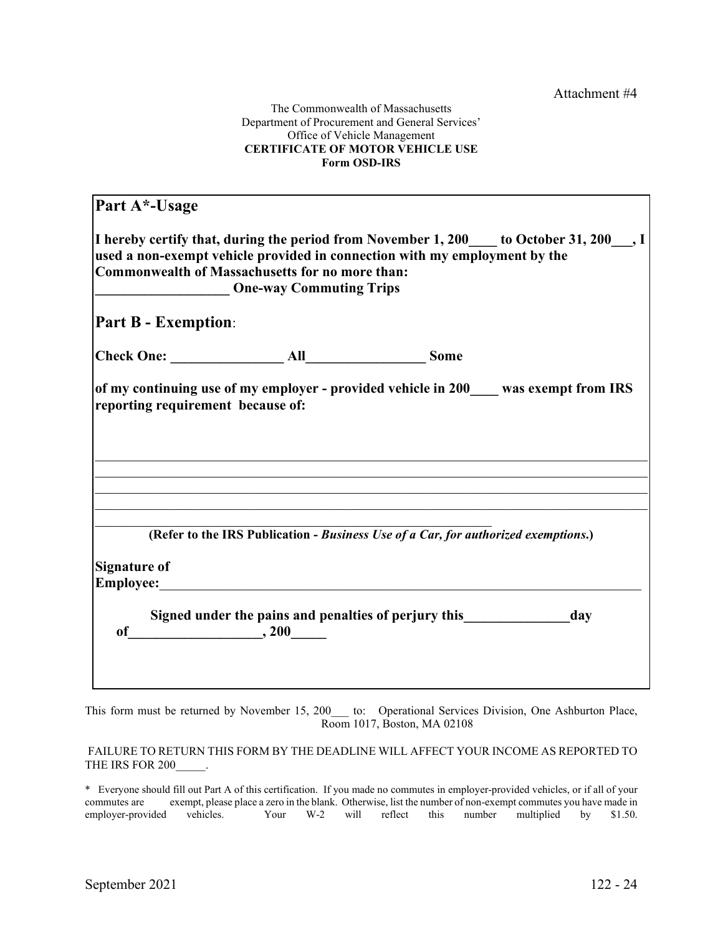#### The Commonwealth of Massachusetts Department of Procurement and General Services' Office of Vehicle Management **CERTIFICATE OF MOTOR VEHICLE USE Form OSD-IRS**

| Part A*-Usage              |                                                                                                                                                                                                                                                                       |     |
|----------------------------|-----------------------------------------------------------------------------------------------------------------------------------------------------------------------------------------------------------------------------------------------------------------------|-----|
|                            | I hereby certify that, during the period from November 1, 200 $\_\_$ to October 31, 200 $\_\_$ , I<br>used a non-exempt vehicle provided in connection with my employment by the<br>Commonwealth of Massachusetts for no more than:<br><b>One-way Commuting Trips</b> |     |
| <b>Part B - Exemption:</b> |                                                                                                                                                                                                                                                                       |     |
|                            |                                                                                                                                                                                                                                                                       |     |
|                            | of my continuing use of my employer - provided vehicle in 200 was exempt from IRS<br>reporting requirement because of:                                                                                                                                                |     |
|                            |                                                                                                                                                                                                                                                                       |     |
|                            |                                                                                                                                                                                                                                                                       |     |
|                            | (Refer to the IRS Publication - Business Use of a Car, for authorized exemptions.)                                                                                                                                                                                    |     |
| <b>Signature of</b>        | Employee: Employee:                                                                                                                                                                                                                                                   |     |
|                            | Signed under the pains and penalties of perjury this<br>of $\qquad \qquad .200$                                                                                                                                                                                       | day |
|                            |                                                                                                                                                                                                                                                                       |     |

This form must be returned by November 15, 200\_\_\_ to: Operational Services Division, One Ashburton Place, Room 1017, Boston, MA 02108

FAILURE TO RETURN THIS FORM BY THE DEADLINE WILL AFFECT YOUR INCOME AS REPORTED TO THE IRS FOR 200 .

\* Everyone should fill out Part A of this certification. If you made no commutes in employer-provided vehicles, or if all of your commutes are exempt, please place a zero in the blank. Otherwise, list the number of non-exempt commutes you have made in employer-provided vehicles. Your W-2 will reflect this number multiplied by \$1.50. Your W-2 will reflect this number multiplied by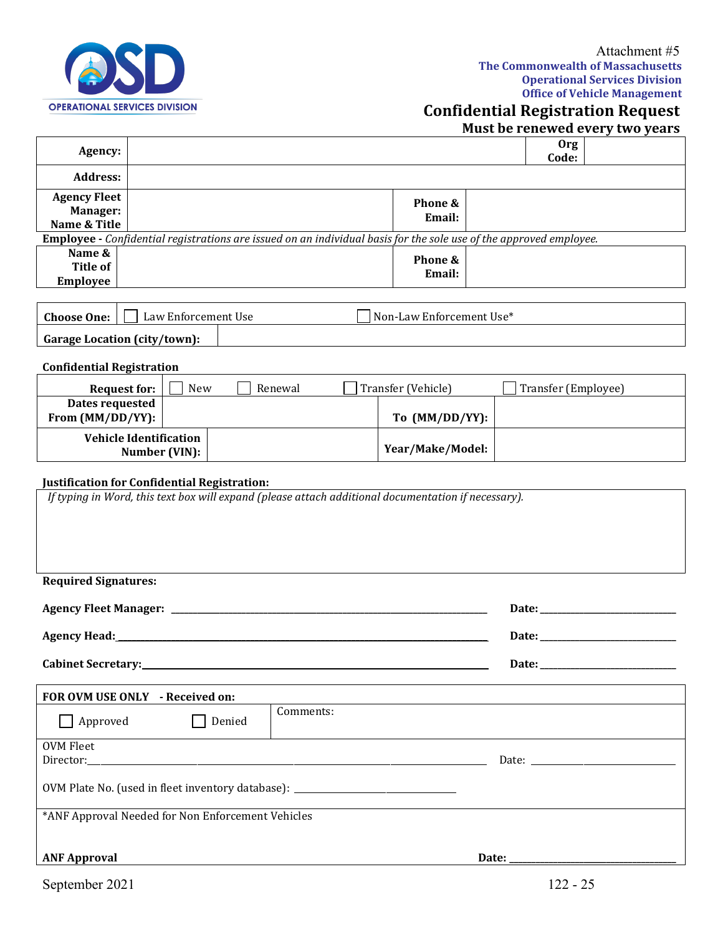

- I

# **Confidential Registration Request**

**Must be renewed every two years**

| Agency:                                    |                                                                                                                                                     |        |           |                          |       | <b>Org</b><br>Code: |  |
|--------------------------------------------|-----------------------------------------------------------------------------------------------------------------------------------------------------|--------|-----------|--------------------------|-------|---------------------|--|
| <b>Address:</b>                            |                                                                                                                                                     |        |           |                          |       |                     |  |
| <b>Agency Fleet</b>                        |                                                                                                                                                     |        |           | Phone &                  |       |                     |  |
| Manager:<br>Name & Title                   |                                                                                                                                                     |        |           | Email:                   |       |                     |  |
|                                            | <b>Employee</b> - Confidential registrations are issued on an individual basis for the sole use of the approved employee.                           |        |           |                          |       |                     |  |
| Name &<br><b>Title of</b>                  |                                                                                                                                                     |        |           | Phone &                  |       |                     |  |
| <b>Employee</b>                            |                                                                                                                                                     |        |           | Email:                   |       |                     |  |
|                                            |                                                                                                                                                     |        |           |                          |       |                     |  |
| <b>Choose One:</b>                         | Law Enforcement Use                                                                                                                                 |        |           | Non-Law Enforcement Use* |       |                     |  |
| <b>Garage Location (city/town):</b>        |                                                                                                                                                     |        |           |                          |       |                     |  |
| <b>Confidential Registration</b>           |                                                                                                                                                     |        |           |                          |       |                     |  |
| <b>Request for:</b>                        | New                                                                                                                                                 |        | Renewal   | Transfer (Vehicle)       |       | Transfer (Employee) |  |
| <b>Dates requested</b><br>From (MM/DD/YY): |                                                                                                                                                     |        |           | To (MM/DD/YY):           |       |                     |  |
|                                            | <b>Vehicle Identification</b><br>Number (VIN):                                                                                                      |        |           | Year/Make/Model:         |       |                     |  |
|                                            | Justification for Confidential Registration:<br>If typing in Word, this text box will expand (please attach additional documentation if necessary). |        |           |                          |       |                     |  |
|                                            |                                                                                                                                                     |        |           |                          |       |                     |  |
| <b>Required Signatures:</b>                |                                                                                                                                                     |        |           |                          |       |                     |  |
|                                            |                                                                                                                                                     |        |           |                          |       |                     |  |
|                                            |                                                                                                                                                     |        |           |                          |       |                     |  |
| <b>Cabinet Secretary:</b>                  |                                                                                                                                                     |        |           |                          |       | Date:               |  |
|                                            | FOR OVM USE ONLY - Received on:                                                                                                                     |        |           |                          |       |                     |  |
| Approved                                   |                                                                                                                                                     | Denied | Comments: |                          |       |                     |  |
| <b>OVM Fleet</b>                           |                                                                                                                                                     |        |           |                          |       |                     |  |
| Director:                                  |                                                                                                                                                     |        |           |                          |       |                     |  |
|                                            | OVM Plate No. (used in fleet inventory database): ______________________________                                                                    |        |           |                          |       |                     |  |
|                                            | *ANF Approval Needed for Non Enforcement Vehicles                                                                                                   |        |           |                          |       |                     |  |
| <b>ANF Approval</b>                        |                                                                                                                                                     |        |           |                          | Date: |                     |  |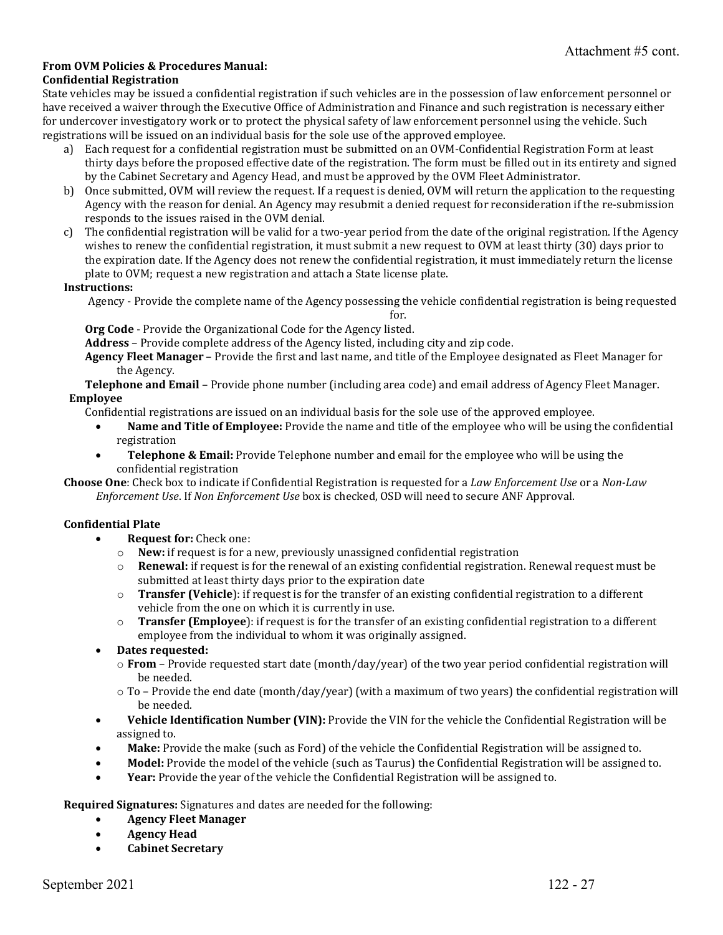## **From OVM Policies & Procedures Manual:**

#### **Confidential Registration**

State vehicles may be issued a confidential registration if such vehicles are in the possession of law enforcement personnel or have received a waiver through the Executive Office of Administration and Finance and such registration is necessary either for undercover investigatory work or to protect the physical safety of law enforcement personnel using the vehicle. Such registrations will be issued on an individual basis for the sole use of the approved employee.

- a) Each request for a confidential registration must be submitted on an OVM-Confidential Registration Form at least thirty days before the proposed effective date of the registration. The form must be filled out in its entirety and signed by the Cabinet Secretary and Agency Head, and must be approved by the OVM Fleet Administrator.
- b) Once submitted, OVM will review the request. If a request is denied, OVM will return the application to the requesting Agency with the reason for denial. An Agency may resubmit a denied request for reconsideration if the re-submission responds to the issues raised in the OVM denial.
- c) The confidential registration will be valid for a two-year period from the date of the original registration. If the Agency wishes to renew the confidential registration, it must submit a new request to OVM at least thirty (30) days prior to the expiration date. If the Agency does not renew the confidential registration, it must immediately return the license plate to OVM; request a new registration and attach a State license plate.

#### **Instructions:**

Agency - Provide the complete name of the Agency possessing the vehicle confidential registration is being requested

for.

**Org Code** - Provide the Organizational Code for the Agency listed.

**Address** – Provide complete address of the Agency listed, including city and zip code.

**Agency Fleet Manager** – Provide the first and last name, and title of the Employee designated as Fleet Manager for the Agency.

**Telephone and Email** – Provide phone number (including area code) and email address of Agency Fleet Manager. **Employee** 

Confidential registrations are issued on an individual basis for the sole use of the approved employee.

- **Name and Title of Employee:** Provide the name and title of the employee who will be using the confidential registration
- **Telephone & Email:** Provide Telephone number and email for the employee who will be using the confidential registration

**Choose One**: Check box to indicate if Confidential Registration is requested for a *Law Enforcement Use* or a *Non-Law Enforcement Use*. If *Non Enforcement Use* box is checked, OSD will need to secure ANF Approval.

#### **Confidential Plate**

- **Request for:** Check one:
	- o **New:** if request is for a new, previously unassigned confidential registration  $\circ$  **Renewal:** if request is for the renewal of an existing confidential registration
	- **Renewal:** if request is for the renewal of an existing confidential registration. Renewal request must be submitted at least thirty days prior to the expiration date
	- o **Transfer (Vehicle**): if request is for the transfer of an existing confidential registration to a different vehicle from the one on which it is currently in use.
	- o **Transfer (Employee**): if request is for the transfer of an existing confidential registration to a different employee from the individual to whom it was originally assigned.
- **Dates requested:**
	- o **From** Provide requested start date (month/day/year) of the two year period confidential registration will be needed.
	- $\circ$  To Provide the end date (month/day/year) (with a maximum of two years) the confidential registration will be needed.
- **Vehicle Identification Number (VIN):** Provide the VIN for the vehicle the Confidential Registration will be assigned to.
- **Make:** Provide the make (such as Ford) of the vehicle the Confidential Registration will be assigned to.
- **Model:** Provide the model of the vehicle (such as Taurus) the Confidential Registration will be assigned to.
- **Year:** Provide the year of the vehicle the Confidential Registration will be assigned to.

**Required Signatures:** Signatures and dates are needed for the following:

- **Agency Fleet Manager**
- **Agency Head**
- **Cabinet Secretary**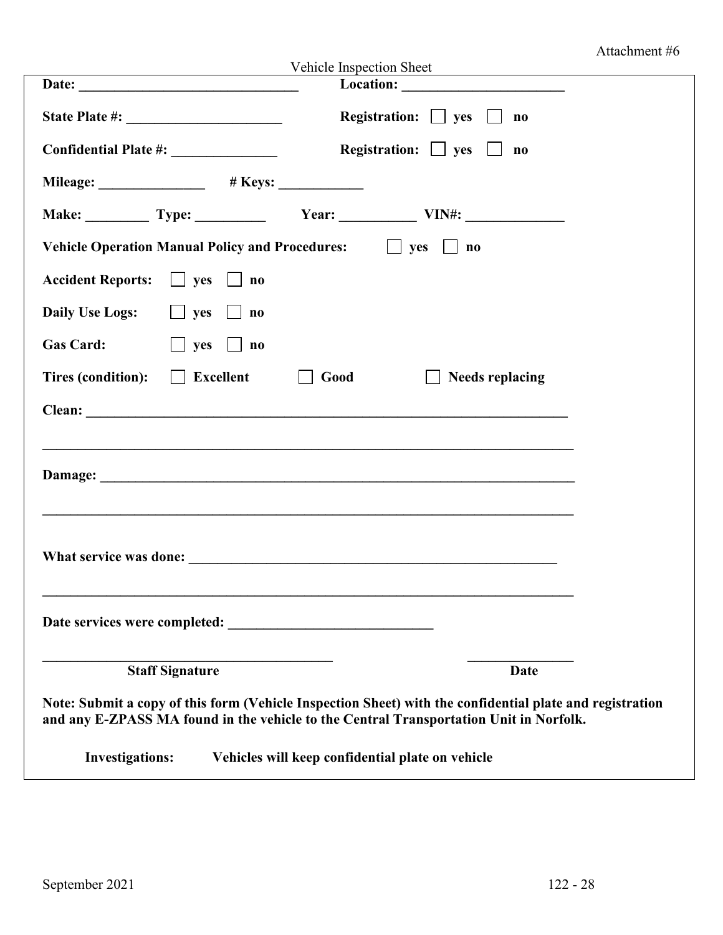# Attachment #6

|                                                                                                                                                                                                                                | Vehicle Inspection Sheet                                                                                 |  |
|--------------------------------------------------------------------------------------------------------------------------------------------------------------------------------------------------------------------------------|----------------------------------------------------------------------------------------------------------|--|
|                                                                                                                                                                                                                                |                                                                                                          |  |
|                                                                                                                                                                                                                                | Registration: $\Box$ yes $\Box$<br>$\mathbf{n}\mathbf{o}$                                                |  |
|                                                                                                                                                                                                                                | Registration: $\Box$ yes $\Box$<br>$\mathbf{n}\mathbf{o}$                                                |  |
|                                                                                                                                                                                                                                |                                                                                                          |  |
|                                                                                                                                                                                                                                | Make: Type: Type: Year: Year: VIN#:                                                                      |  |
| Vehicle Operation Manual Policy and Procedures: $\Box$ yes $\Box$ no                                                                                                                                                           |                                                                                                          |  |
| Accident Reports: $\Box$ yes $\Box$ no                                                                                                                                                                                         |                                                                                                          |  |
| Daily Use Logs: $\Box$ yes $\Box$ no                                                                                                                                                                                           |                                                                                                          |  |
| <b>Gas Card:</b><br>$\Box$ yes $\Box$ no                                                                                                                                                                                       |                                                                                                          |  |
| Tires (condition): $\Box$ Excellent                                                                                                                                                                                            | Good<br>Needs replacing                                                                                  |  |
|                                                                                                                                                                                                                                |                                                                                                          |  |
|                                                                                                                                                                                                                                |                                                                                                          |  |
|                                                                                                                                                                                                                                |                                                                                                          |  |
|                                                                                                                                                                                                                                |                                                                                                          |  |
|                                                                                                                                                                                                                                |                                                                                                          |  |
| What service was done: New York Changes and Service was doned by the service was doned by the service was doned by the service was doned by the service was doned by the service was doned by the service was doned by the ser |                                                                                                          |  |
|                                                                                                                                                                                                                                |                                                                                                          |  |
| Date services were completed:                                                                                                                                                                                                  |                                                                                                          |  |
| <b>Staff Signature</b>                                                                                                                                                                                                         | <b>Date</b>                                                                                              |  |
|                                                                                                                                                                                                                                | Note: Submit a copy of this form (Vehicle Inspection Sheet) with the confidential plate and registration |  |
|                                                                                                                                                                                                                                | and any E-ZPASS MA found in the vehicle to the Central Transportation Unit in Norfolk.                   |  |
| <b>Investigations:</b>                                                                                                                                                                                                         | Vehicles will keep confidential plate on vehicle                                                         |  |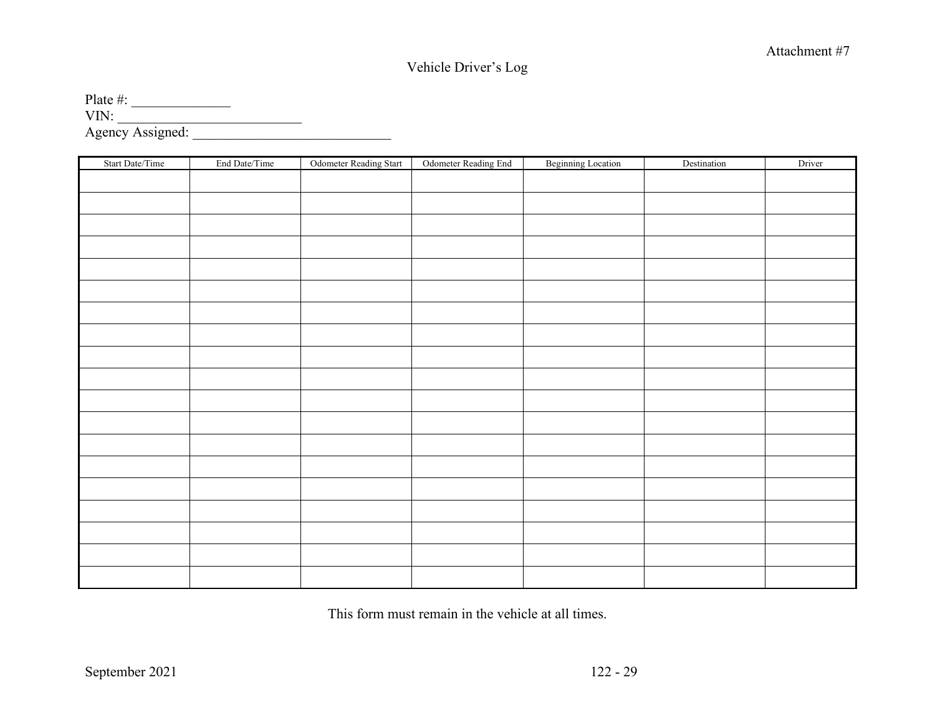# Vehicle Driver's Log

Plate  $\#$ : VIN: \_\_\_\_\_\_\_\_\_\_\_\_\_\_\_\_\_\_\_\_\_\_\_\_\_\_ Agency Assigned: \_\_\_\_\_\_\_\_\_\_\_\_\_\_\_\_\_\_\_\_\_\_\_\_\_\_\_\_

| Start Date/Time | End Date/Time | Odometer Reading Start | Odometer Reading End | <b>Beginning Location</b> | Destination | Driver |
|-----------------|---------------|------------------------|----------------------|---------------------------|-------------|--------|
|                 |               |                        |                      |                           |             |        |
|                 |               |                        |                      |                           |             |        |
|                 |               |                        |                      |                           |             |        |
|                 |               |                        |                      |                           |             |        |
|                 |               |                        |                      |                           |             |        |
|                 |               |                        |                      |                           |             |        |
|                 |               |                        |                      |                           |             |        |
|                 |               |                        |                      |                           |             |        |
|                 |               |                        |                      |                           |             |        |
|                 |               |                        |                      |                           |             |        |
|                 |               |                        |                      |                           |             |        |
|                 |               |                        |                      |                           |             |        |
|                 |               |                        |                      |                           |             |        |
|                 |               |                        |                      |                           |             |        |
|                 |               |                        |                      |                           |             |        |
|                 |               |                        |                      |                           |             |        |
|                 |               |                        |                      |                           |             |        |
|                 |               |                        |                      |                           |             |        |
|                 |               |                        |                      |                           |             |        |

This form must remain in the vehicle at all times.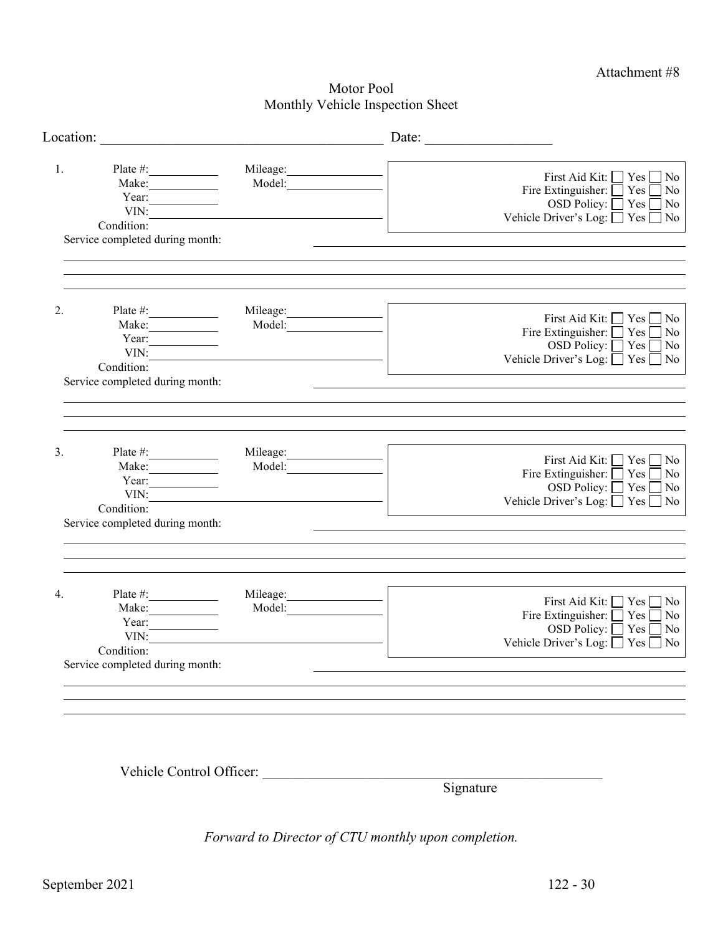Attachment #8

# Motor Pool Monthly Vehicle Inspection Sheet

| Location:                                                                                                 |                    | Date:                                                                                                                                                                  |
|-----------------------------------------------------------------------------------------------------------|--------------------|------------------------------------------------------------------------------------------------------------------------------------------------------------------------|
| 1.<br>Plate #:<br>Make:<br>Year: $\qquad \qquad$<br>VIN:<br>Condition:<br>Service completed during month: | Mileage:<br>Model: | First Aid Kit: $\Box$ Yes $\Box$ No<br>Fire Extinguisher: $\Box$ Yes $\Box$<br>$\exists$ No<br>OSD Policy: $\Box$ Yes<br>$\neg$ No<br>Vehicle Driver's Log: □ Yes □ No |
| 2.<br>Plate #:<br>Make:<br>Year:<br>VIN:<br>Condition:<br>Service completed during month:                 | Mileage:<br>Model: | First Aid Kit: □ Yes □ No<br>Fire Extinguisher:<br>$\bigcap$ Yes<br>$\neg$ No<br>OSD Policy: $\Box$ Yes $\Box$ No<br>Vehicle Driver's Log: □ Yes □ No                  |
| 3.<br>Plate $\#$ :<br>Make:<br>Year:                                                                      | Mileage:<br>Model: | First Aid Kit: $\Box$ Yes $\Box$ No<br>Fire Extinguisher: $\Box$<br>Yes<br>No<br>$\Box$                                                                                |
| VIN:<br>Condition:<br>Service completed during month:                                                     |                    | OSD Policy: $\Box$ Yes $\Box$ No<br>Vehicle Driver's Log: □ Yes □ No                                                                                                   |
| $\overline{4}$ .<br>Plate #:<br>Make:<br>Year:<br>VIN:                                                    | Mileage:<br>Model: | First Aid Kit: □ Yes □ No<br>Fire Extinguisher: $\Box$ Yes $\Box$ No<br>OSD Policy: □ Yes □ No<br>Vehicle Driver's Log: $\Box$ Yes $\Box$ No                           |
| Condition:<br>Service completed during month:                                                             |                    |                                                                                                                                                                        |

Vehicle Control Officer:

**Signature** 

*Forward to Director of CTU monthly upon completion.*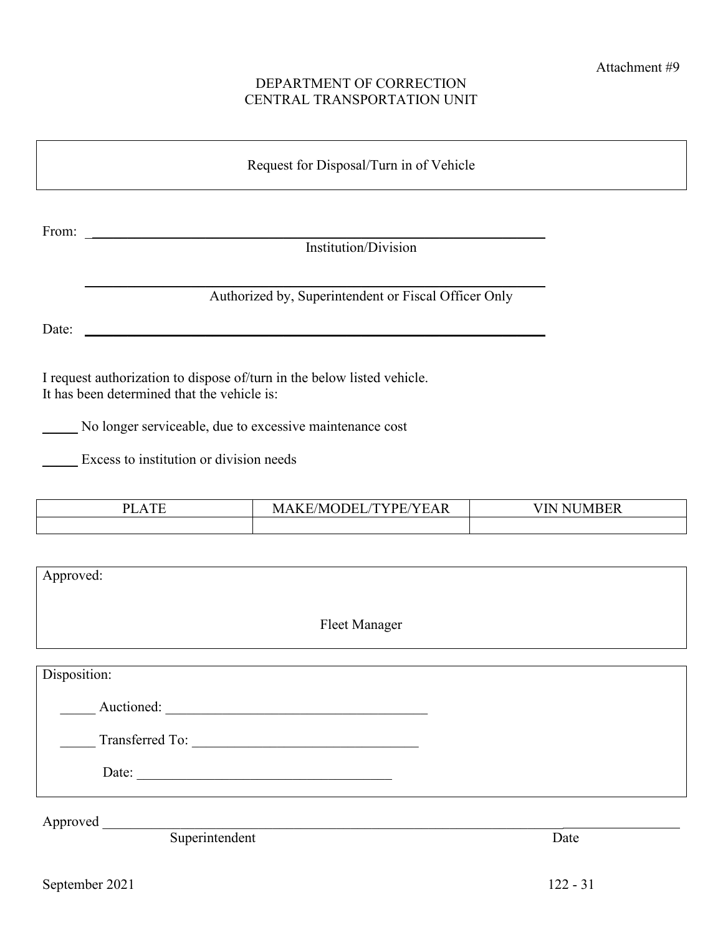# DEPARTMENT OF CORRECTION CENTRAL TRANSPORTATION UNIT

From: \_\_\_\_\_\_\_\_\_\_\_\_\_\_\_\_\_\_\_\_\_\_\_\_\_\_\_\_\_\_\_\_\_\_\_\_\_\_\_\_\_\_\_\_\_\_\_\_\_\_\_\_\_\_\_\_\_\_\_\_\_\_\_\_\_ Institution/Division

|  | Authorized by, Superintendent or Fiscal Officer Only |  |  |
|--|------------------------------------------------------|--|--|
|  |                                                      |  |  |

Date:  $\Box$ 

I request authorization to dispose of/turn in the below listed vehicle. It has been determined that the vehicle is:

\_\_\_\_\_ No longer serviceable, due to excessive maintenance cost

\_\_\_\_\_ Excess to institution or division needs

| $T^{\prime}$<br>זת<br>$^{\prime}$ | $\sim$ $\sim$ $\sim$ $\sim$<br>T<br>N/H<br>╺╺<br>N | $\sqrt{2}$<br>TN<br>N R F R<br>N |  |  |  |  |
|-----------------------------------|----------------------------------------------------|----------------------------------|--|--|--|--|
|                                   |                                                    |                                  |  |  |  |  |

| Approved:            |  |
|----------------------|--|
| <b>Fleet Manager</b> |  |
| Disposition:         |  |
| Auctioned:           |  |
| Transferred To:      |  |
| Date:                |  |

Approved \_\_\_\_\_\_\_\_\_\_\_\_\_\_\_\_\_\_\_\_\_\_\_\_\_\_\_\_\_\_\_\_\_\_\_\_\_\_\_\_\_\_\_\_\_\_\_\_\_\_\_\_\_\_\_\_\_\_\_\_\_\_\_\_\_

Superintendent Date